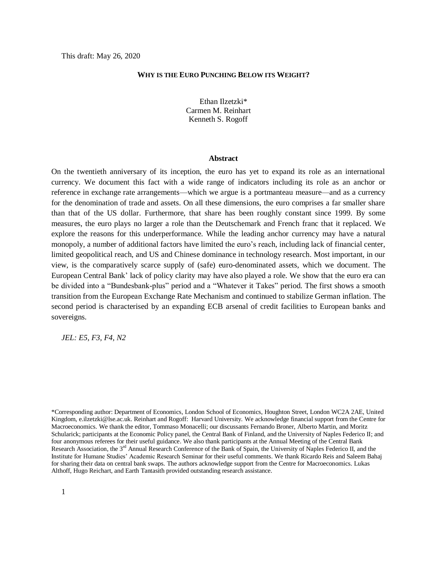#### **WHY IS THE EURO PUNCHING BELOW ITS WEIGHT?**

Ethan Ilzetzki\* Carmen M. Reinhart Kenneth S. Rogoff

#### **Abstract**

On the twentieth anniversary of its inception, the euro has yet to expand its role as an international currency. We document this fact with a wide range of indicators including its role as an anchor or reference in exchange rate arrangements—which we argue is a portmanteau measure—and as a currency for the denomination of trade and assets. On all these dimensions, the euro comprises a far smaller share than that of the US dollar. Furthermore, that share has been roughly constant since 1999. By some measures, the euro plays no larger a role than the Deutschemark and French franc that it replaced. We explore the reasons for this underperformance. While the leading anchor currency may have a natural monopoly, a number of additional factors have limited the euro's reach, including lack of financial center, limited geopolitical reach, and US and Chinese dominance in technology research. Most important, in our view, is the comparatively scarce supply of (safe) euro-denominated assets, which we document. The European Central Bank' lack of policy clarity may have also played a role. We show that the euro era can be divided into a "Bundesbank-plus" period and a "Whatever it Takes" period. The first shows a smooth transition from the European Exchange Rate Mechanism and continued to stabilize German inflation. The second period is characterised by an expanding ECB arsenal of credit facilities to European banks and sovereigns.

*JEL: E5, F3, F4, N2*

\*Corresponding author: Department of Economics, London School of Economics, Houghton Street, London WC2A 2AE, United Kingdom[, e.ilzetzki@lse.ac.uk.](mailto:e.ilzetzki@lse.ac.uk) Reinhart and Rogoff: Harvard University. We acknowledge financial support from the Centre for Macroeconomics. We thank the editor, Tommaso Monacelli; our discussants Fernando Broner, Alberto Martin, and Moritz Schularick; participants at the Economic Policy panel, the Central Bank of Finland, and the University of Naples Federico II; and four anonymous referees for their useful guidance. We also thank participants at the Annual Meeting of the Central Bank Research Association, the 3<sup>rd</sup> Annual Research Conference of the Bank of Spain, the University of Naples Federico II, and the Institute for Humane Studies' Academic Research Seminar for their useful comments. We thank Ricardo Reis and Saleem Bahaj for sharing their data on central bank swaps. The authors acknowledge support from the Centre for Macroeconomics. Lukas Althoff, Hugo Reichart, and Earth Tantasith provided outstanding research assistance.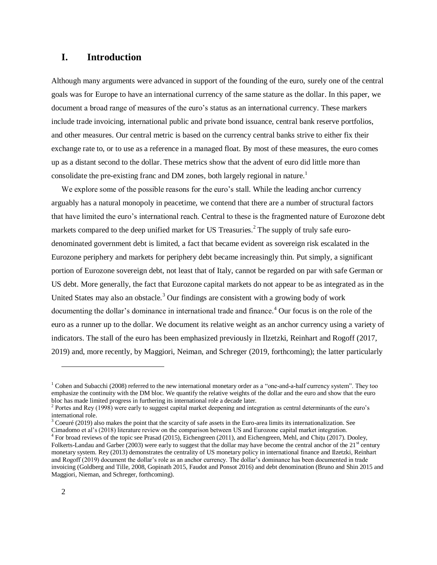# **I. Introduction**

Although many arguments were advanced in support of the founding of the euro, surely one of the central goals was for Europe to have an international currency of the same stature as the dollar. In this paper, we document a broad range of measures of the euro's status as an international currency. These markers include trade invoicing, international public and private bond issuance, central bank reserve portfolios, and other measures. Our central metric is based on the currency central banks strive to either fix their exchange rate to, or to use as a reference in a managed float. By most of these measures, the euro comes up as a distant second to the dollar. These metrics show that the advent of euro did little more than consolidate the pre-existing franc and DM zones, both largely regional in nature. 1

We explore some of the possible reasons for the euro's stall. While the leading anchor currency arguably has a natural monopoly in peacetime, we contend that there are a number of structural factors that have limited the euro's international reach. Central to these is the fragmented nature of Eurozone debt markets compared to the deep unified market for US Treasuries.<sup>2</sup> The supply of truly safe eurodenominated government debt is limited, a fact that became evident as sovereign risk escalated in the Eurozone periphery and markets for periphery debt became increasingly thin. Put simply, a significant portion of Eurozone sovereign debt, not least that of Italy, cannot be regarded on par with safe German or US debt. More generally, the fact that Eurozone capital markets do not appear to be as integrated as in the United States may also an obstacle.<sup>3</sup> Our findings are consistent with a growing body of work documenting the dollar's dominance in international trade and finance. <sup>4</sup> Our focus is on the role of the euro as a runner up to the dollar. We document its relative weight as an anchor currency using a variety of indicators. The stall of the euro has been emphasized previously in Ilzetzki, Reinhart and Rogoff (2017, 2019) and, more recently, by Maggiori, Neiman, and Schreger (2019, forthcoming); the latter particularly

<sup>&</sup>lt;sup>1</sup> Cohen and Subacchi (2008) referred to the new international monetary order as a "one-and-a-half currency system". They too emphasize the continuity with the DM bloc. We quantify the relative weights of the dollar and the euro and show that the euro bloc has made limited progress in furthering its international role a decade later.

 $2^2$  Portes and Rey (1998) were early to suggest capital market deepening and integration as central determinants of the euro's international role.

 $3$  Coeuré (2019) also makes the point that the scarcity of safe assets in the Euro-area limits its internationalization. See Cimadomo et al's (2018) literature review on the comparison between US and Eurozone capital market integration.

<sup>&</sup>lt;sup>4</sup> For broad reviews of the topic see Prasad (2015), Eichengreen (2011), and Eichengreen, Mehl, and Chițu (2017). Dooley, Folkerts-Landau and Garber (2003) were early to suggest that the dollar may have become the central anchor of the  $21<sup>st</sup>$  century monetary system. Rey (2013) demonstrates the centrality of US monetary policy in international finance and Ilzetzki, Reinhart and Rogoff (2019) document the dollar's role as an anchor currency. The dollar's dominance has been documented in trade invoicing (Goldberg and Tille, 2008, Gopinath 2015, Faudot and Ponsot 2016) and debt denomination (Bruno and Shin 2015 and Maggiori, Nieman, and Schreger, forthcoming).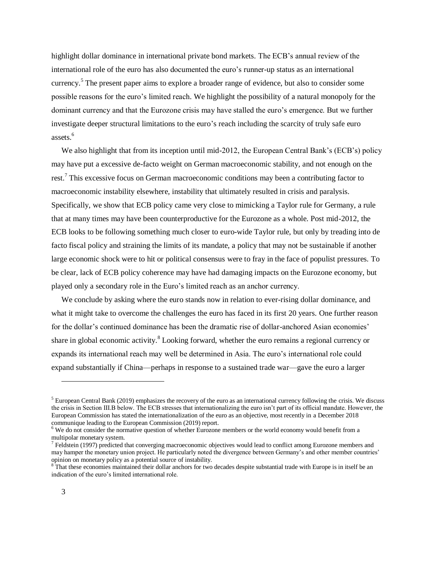highlight dollar dominance in international private bond markets. The ECB's annual review of the international role of the euro has also documented the euro's runner-up status as an international currency.<sup>5</sup> The present paper aims to explore a broader range of evidence, but also to consider some possible reasons for the euro's limited reach. We highlight the possibility of a natural monopoly for the dominant currency and that the Eurozone crisis may have stalled the euro's emergence. But we further investigate deeper structural limitations to the euro's reach including the scarcity of truly safe euro assets.<sup>6</sup>

We also highlight that from its inception until mid-2012, the European Central Bank's (ECB's) policy may have put a excessive de-facto weight on German macroeconomic stability, and not enough on the rest.<sup>7</sup> This excessive focus on German macroeconomic conditions may been a contributing factor to macroeconomic instability elsewhere, instability that ultimately resulted in crisis and paralysis. Specifically, we show that ECB policy came very close to mimicking a Taylor rule for Germany, a rule that at many times may have been counterproductive for the Eurozone as a whole. Post mid-2012, the ECB looks to be following something much closer to euro-wide Taylor rule, but only by treading into de facto fiscal policy and straining the limits of its mandate, a policy that may not be sustainable if another large economic shock were to hit or political consensus were to fray in the face of populist pressures. To be clear, lack of ECB policy coherence may have had damaging impacts on the Eurozone economy, but played only a secondary role in the Euro's limited reach as an anchor currency.

We conclude by asking where the euro stands now in relation to ever-rising dollar dominance, and what it might take to overcome the challenges the euro has faced in its first 20 years. One further reason for the dollar's continued dominance has been the dramatic rise of dollar-anchored Asian economies' share in global economic activity.<sup>8</sup> Looking forward, whether the euro remains a regional currency or expands its international reach may well be determined in Asia. The euro's international role could expand substantially if China—perhaps in response to a sustained trade war—gave the euro a larger

<sup>&</sup>lt;sup>5</sup> European Central Bank (2019) emphasizes the recovery of the euro as an international currency following the crisis. We discuss the crisis in Section III.B below. The ECB stresses that internationalizing the euro isn't part of its official mandate. However, the European Commission has stated the internationalization of the euro as an objective, most recently in a December 2018 communique leading to the European Commission (2019) report.

 $6$  We do not consider the normative question of whether Eurozone members or the world economy would benefit from a multipolar monetary system.

 $^7$  Feldstein (1997) predicted that converging macroeconomic objectives would lead to conflict among Eurozone members and may hamper the monetary union project. He particularly noted the divergence between Germany's and other member countries' opinion on monetary policy as a potential source of instability.

<sup>&</sup>lt;sup>8</sup> That these economies maintained their dollar anchors for two decades despite substantial trade with Europe is in itself be an indication of the euro's limited international role.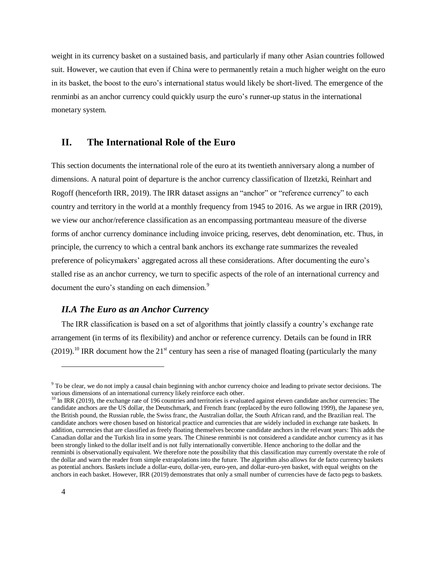weight in its currency basket on a sustained basis, and particularly if many other Asian countries followed suit. However, we caution that even if China were to permanently retain a much higher weight on the euro in its basket, the boost to the euro's international status would likely be short-lived. The emergence of the renminbi as an anchor currency could quickly usurp the euro's runner-up status in the international monetary system.

# **II. The International Role of the Euro**

This section documents the international role of the euro at its twentieth anniversary along a number of dimensions. A natural point of departure is the anchor currency classification of Ilzetzki, Reinhart and Rogoff (henceforth IRR, 2019). The IRR dataset assigns an "anchor" or "reference currency" to each country and territory in the world at a monthly frequency from 1945 to 2016. As we argue in IRR (2019), we view our anchor/reference classification as an encompassing portmanteau measure of the diverse forms of anchor currency dominance including invoice pricing, reserves, debt denomination, etc. Thus, in principle, the currency to which a central bank anchors its exchange rate summarizes the revealed preference of policymakers' aggregated across all these considerations. After documenting the euro's stalled rise as an anchor currency, we turn to specific aspects of the role of an international currency and document the euro's standing on each dimension.<sup>9</sup>

# *II.A The Euro as an Anchor Currency*

The IRR classification is based on a set of algorithms that jointly classify a country's exchange rate arrangement (in terms of its flexibility) and anchor or reference currency. Details can be found in IRR (2019).<sup>10</sup> IRR document how the 21<sup>st</sup> century has seen a rise of managed floating (particularly the many

<sup>&</sup>lt;sup>9</sup> To be clear, we do not imply a causal chain beginning with anchor currency choice and leading to private sector decisions. The various dimensions of an international currency likely reinforce each other.

 $10$  In IRR (2019), the exchange rate of 196 countries and territories is evaluated against eleven candidate anchor currencies: The candidate anchors are the US dollar, the Deutschmark, and French franc (replaced by the euro following 1999), the Japanese yen, the British pound, the Russian ruble, the Swiss franc, the Australian dollar, the South African rand, and the Brazilian real. The candidate anchors were chosen based on historical practice and currencies that are widely included in exchange rate baskets. In addition, currencies that are classified as freely floating themselves become candidate anchors in the relevant years: This adds the Canadian dollar and the Turkish lira in some years. The Chinese renminbi is not considered a candidate anchor currency as it has been strongly linked to the dollar itself and is not fully internationally convertible. Hence anchoring to the dollar and the renminbi is observationally equivalent. We therefore note the possibility that this classification may currently overstate the role of the dollar and warn the reader from simple extrapolations into the future. The algorithm also allows for de facto currency baskets as potential anchors. Baskets include a dollar-euro, dollar-yen, euro-yen, and dollar-euro-yen basket, with equal weights on the anchors in each basket. However, IRR (2019) demonstrates that only a small number of currencies have de facto pegs to baskets.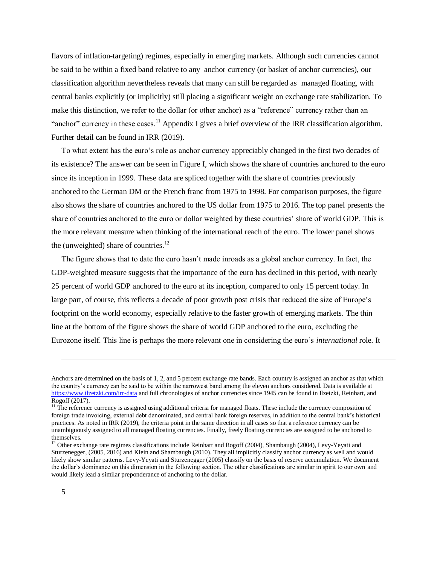flavors of inflation-targeting) regimes, especially in emerging markets. Although such currencies cannot be said to be within a fixed band relative to any anchor currency (or basket of anchor currencies), our classification algorithm nevertheless reveals that many can still be regarded as managed floating, with central banks explicitly (or implicitly) still placing a significant weight on exchange rate stabilization. To make this distinction, we refer to the dollar (or other anchor) as a "reference" currency rather than an "anchor" currency in these cases.<sup>11</sup> Appendix I gives a brief overview of the IRR classification algorithm. Further detail can be found in IRR (2019).

To what extent has the euro's role as anchor currency appreciably changed in the first two decades of its existence? The answer can be seen in Figure I, which shows the share of countries anchored to the euro since its inception in 1999. These data are spliced together with the share of countries previously anchored to the German DM or the French franc from 1975 to 1998. For comparison purposes, the figure also shows the share of countries anchored to the US dollar from 1975 to 2016. The top panel presents the share of countries anchored to the euro or dollar weighted by these countries' share of world GDP. This is the more relevant measure when thinking of the international reach of the euro. The lower panel shows the (unweighted) share of countries. $^{12}$ 

The figure shows that to date the euro hasn't made inroads as a global anchor currency. In fact, the GDP-weighted measure suggests that the importance of the euro has declined in this period, with nearly 25 percent of world GDP anchored to the euro at its inception, compared to only 15 percent today. In large part, of course, this reflects a decade of poor growth post crisis that reduced the size of Europe's footprint on the world economy, especially relative to the faster growth of emerging markets. The thin line at the bottom of the figure shows the share of world GDP anchored to the euro, excluding the Eurozone itself. This line is perhaps the more relevant one in considering the euro's *international* role. It

Anchors are determined on the basis of 1, 2, and 5 percent exchange rate bands. Each country is assigned an anchor as that which the country's currency can be said to be within the narrowest band among the eleven anchors considered. Data is available at <https://www.ilzetzki.com/irr-data> and full chronologies of anchor currencies since 1945 can be found in Ilzetzki, Reinhart, and Rogoff (2017).

<sup>&</sup>lt;sup>11</sup> The reference currency is assigned using additional criteria for managed floats. These include the currency composition of foreign trade invoicing, external debt denominated, and central bank foreign reserves, in addition to the central bank's historical practices. As noted in IRR (2019), the criteria point in the same direction in all cases so that a reference currency can be unambiguously assigned to all managed floating currencies. Finally, freely floating currencies are assigned to be anchored to themselves.

<sup>&</sup>lt;sup>12</sup> Other exchange rate regimes classifications include Reinhart and Rogoff (2004), Shambaugh (2004), Levy-Yeyati and Sturzenegger, (2005, 2016) and Klein and Shambaugh (2010). They all implicitly classify anchor currency as well and would likely show similar patterns. Levy-Yeyati and Sturzenegger (2005) classify on the basis of reserve accumulation. We document the dollar's dominance on this dimension in the following section. The other classifications are similar in spirit to our own and would likely lead a similar preponderance of anchoring to the dollar.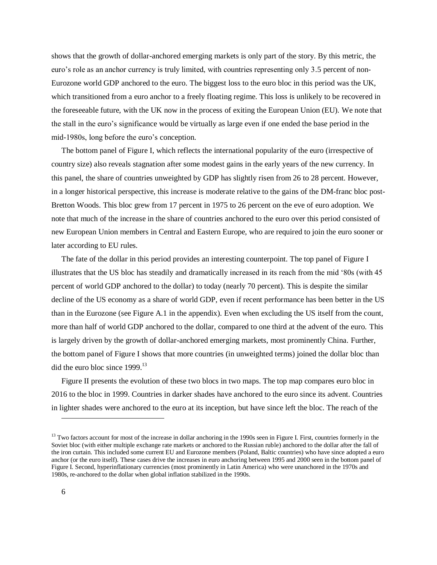shows that the growth of dollar-anchored emerging markets is only part of the story. By this metric, the euro's role as an anchor currency is truly limited, with countries representing only 3.5 percent of non-Eurozone world GDP anchored to the euro. The biggest loss to the euro bloc in this period was the UK, which transitioned from a euro anchor to a freely floating regime. This loss is unlikely to be recovered in the foreseeable future, with the UK now in the process of exiting the European Union (EU). We note that the stall in the euro's significance would be virtually as large even if one ended the base period in the mid-1980s, long before the euro's conception.

The bottom panel of Figure I, which reflects the international popularity of the euro (irrespective of country size) also reveals stagnation after some modest gains in the early years of the new currency. In this panel, the share of countries unweighted by GDP has slightly risen from 26 to 28 percent. However, in a longer historical perspective, this increase is moderate relative to the gains of the DM-franc bloc post-Bretton Woods. This bloc grew from 17 percent in 1975 to 26 percent on the eve of euro adoption. We note that much of the increase in the share of countries anchored to the euro over this period consisted of new European Union members in Central and Eastern Europe, who are required to join the euro sooner or later according to EU rules.

The fate of the dollar in this period provides an interesting counterpoint. The top panel of Figure I illustrates that the US bloc has steadily and dramatically increased in its reach from the mid '80s (with 45 percent of world GDP anchored to the dollar) to today (nearly 70 percent). This is despite the similar decline of the US economy as a share of world GDP, even if recent performance has been better in the US than in the Eurozone (see Figure A.1 in the appendix). Even when excluding the US itself from the count, more than half of world GDP anchored to the dollar, compared to one third at the advent of the euro. This is largely driven by the growth of dollar-anchored emerging markets, most prominently China. Further, the bottom panel of Figure I shows that more countries (in unweighted terms) joined the dollar bloc than did the euro bloc since 1999.<sup>13</sup>

Figure II presents the evolution of these two blocs in two maps. The top map compares euro bloc in 2016 to the bloc in 1999. Countries in darker shades have anchored to the euro since its advent. Countries in lighter shades were anchored to the euro at its inception, but have since left the bloc. The reach of the

<sup>&</sup>lt;sup>13</sup> Two factors account for most of the increase in dollar anchoring in the 1990s seen in Figure I. First, countries formerly in the Soviet bloc (with either multiple exchange rate markets or anchored to the Russian ruble) anchored to the dollar after the fall of the iron curtain. This included some current EU and Eurozone members (Poland, Baltic countries) who have since adopted a euro anchor (or the euro itself). These cases drive the increases in euro anchoring between 1995 and 2000 seen in the bottom panel of Figure I. Second, hyperinflationary currencies (most prominently in Latin America) who were unanchored in the 1970s and 1980s, re-anchored to the dollar when global inflation stabilized in the 1990s.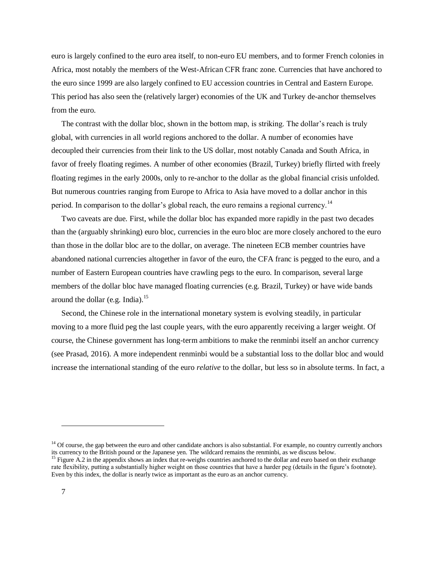euro is largely confined to the euro area itself, to non-euro EU members, and to former French colonies in Africa, most notably the members of the West-African CFR franc zone. Currencies that have anchored to the euro since 1999 are also largely confined to EU accession countries in Central and Eastern Europe. This period has also seen the (relatively larger) economies of the UK and Turkey de-anchor themselves from the euro.

The contrast with the dollar bloc, shown in the bottom map, is striking. The dollar's reach is truly global, with currencies in all world regions anchored to the dollar. A number of economies have decoupled their currencies from their link to the US dollar, most notably Canada and South Africa, in favor of freely floating regimes. A number of other economies (Brazil, Turkey) briefly flirted with freely floating regimes in the early 2000s, only to re-anchor to the dollar as the global financial crisis unfolded. But numerous countries ranging from Europe to Africa to Asia have moved to a dollar anchor in this period. In comparison to the dollar's global reach, the euro remains a regional currency.<sup>14</sup>

Two caveats are due. First, while the dollar bloc has expanded more rapidly in the past two decades than the (arguably shrinking) euro bloc, currencies in the euro bloc are more closely anchored to the euro than those in the dollar bloc are to the dollar, on average. The nineteen ECB member countries have abandoned national currencies altogether in favor of the euro, the CFA franc is pegged to the euro, and a number of Eastern European countries have crawling pegs to the euro. In comparison, several large members of the dollar bloc have managed floating currencies (e.g. Brazil, Turkey) or have wide bands around the dollar (e.g. India). $^{15}$ 

Second, the Chinese role in the international monetary system is evolving steadily, in particular moving to a more fluid peg the last couple years, with the euro apparently receiving a larger weight. Of course, the Chinese government has long-term ambitions to make the renminbi itself an anchor currency (see Prasad, 2016). A more independent renminbi would be a substantial loss to the dollar bloc and would increase the international standing of the euro *relative* to the dollar, but less so in absolute terms. In fact, a

 $<sup>14</sup>$  Of course, the gap between the euro and other candidate anchors is also substantial. For example, no country currently anchors</sup> its currency to the British pound or the Japanese yen. The wildcard remains the renminbi, as we discuss below.

<sup>&</sup>lt;sup>15</sup> Figure A.2 in the appendix shows an index that re-weighs countries anchored to the dollar and euro based on their exchange rate flexibility, putting a substantially higher weight on those countries that have a harder peg (details in the figure's footnote). Even by this index, the dollar is nearly twice as important as the euro as an anchor currency.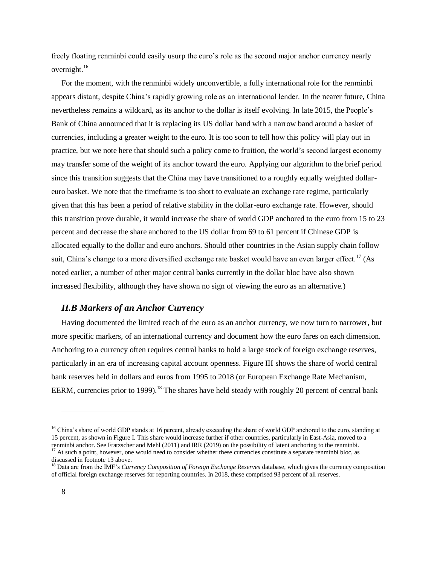freely floating renminbi could easily usurp the euro's role as the second major anchor currency nearly overnight.<sup>16</sup>

For the moment, with the renminbi widely unconvertible, a fully international role for the renminbi appears distant, despite China's rapidly growing role as an international lender. In the nearer future, China nevertheless remains a wildcard, as its anchor to the dollar is itself evolving. In late 2015, the People's Bank of China announced that it is replacing its US dollar band with a narrow band around a basket of currencies, including a greater weight to the euro. It is too soon to tell how this policy will play out in practice, but we note here that should such a policy come to fruition, the world's second largest economy may transfer some of the weight of its anchor toward the euro. Applying our algorithm to the brief period since this transition suggests that the China may have transitioned to a roughly equally weighted dollareuro basket. We note that the timeframe is too short to evaluate an exchange rate regime, particularly given that this has been a period of relative stability in the dollar-euro exchange rate. However, should this transition prove durable, it would increase the share of world GDP anchored to the euro from 15 to 23 percent and decrease the share anchored to the US dollar from 69 to 61 percent if Chinese GDP is allocated equally to the dollar and euro anchors. Should other countries in the Asian supply chain follow suit, China's change to a more diversified exchange rate basket would have an even larger effect.<sup>17</sup> (As noted earlier, a number of other major central banks currently in the dollar bloc have also shown increased flexibility, although they have shown no sign of viewing the euro as an alternative.)

## *II.B Markers of an Anchor Currency*

Having documented the limited reach of the euro as an anchor currency, we now turn to narrower, but more specific markers, of an international currency and document how the euro fares on each dimension. Anchoring to a currency often requires central banks to hold a large stock of foreign exchange reserves, particularly in an era of increasing capital account openness. Figure III shows the share of world central bank reserves held in dollars and euros from 1995 to 2018 (or European Exchange Rate Mechanism, EERM, currencies prior to 1999).<sup>18</sup> The shares have held steady with roughly 20 percent of central bank

<sup>&</sup>lt;sup>16</sup> China's share of world GDP stands at 16 percent, already exceeding the share of world GDP anchored to the euro, standing at 15 percent, as shown in Figure I. This share would increase further if other countries, particularly in East-Asia, moved to a renminbi anchor. See Fratzscher and Mehl (2011) and IRR (2019) on the possibility of latent anchoring to the renminbi. At such a point, however, one would need to consider whether these currencies constitute a separate renminbi bloc, as discussed in footnote 13 above.

<sup>&</sup>lt;sup>18</sup> Data are from the IMF's *Currency Composition of Foreign Exchange Reserves* database, which gives the currency composition of official foreign exchange reserves for reporting countries. In 2018, these comprised 93 percent of all reserves.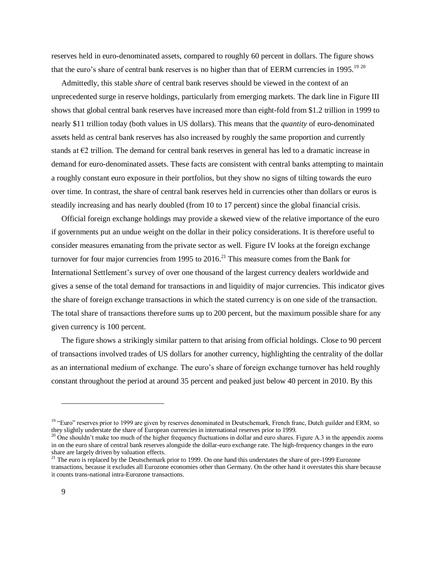reserves held in euro-denominated assets, compared to roughly 60 percent in dollars. The figure shows that the euro's share of central bank reserves is no higher than that of EERM currencies in 1995.<sup>19 20</sup>

Admittedly, this stable *share* of central bank reserves should be viewed in the context of an unprecedented surge in reserve holdings, particularly from emerging markets. The dark line in Figure III shows that global central bank reserves have increased more than eight-fold from \$1.2 trillion in 1999 to nearly \$11 trillion today (both values in US dollars). This means that the *quantity* of euro-denominated assets held as central bank reserves has also increased by roughly the same proportion and currently stands at  $\epsilon$ 2 trillion. The demand for central bank reserves in general has led to a dramatic increase in demand for euro-denominated assets. These facts are consistent with central banks attempting to maintain a roughly constant euro exposure in their portfolios, but they show no signs of tilting towards the euro over time. In contrast, the share of central bank reserves held in currencies other than dollars or euros is steadily increasing and has nearly doubled (from 10 to 17 percent) since the global financial crisis.

Official foreign exchange holdings may provide a skewed view of the relative importance of the euro if governments put an undue weight on the dollar in their policy considerations. It is therefore useful to consider measures emanating from the private sector as well. Figure IV looks at the foreign exchange turnover for four major currencies from 1995 to  $2016$ <sup>21</sup> This measure comes from the Bank for International Settlement's survey of over one thousand of the largest currency dealers worldwide and gives a sense of the total demand for transactions in and liquidity of major currencies. This indicator gives the share of foreign exchange transactions in which the stated currency is on one side of the transaction. The total share of transactions therefore sums up to 200 percent, but the maximum possible share for any given currency is 100 percent.

The figure shows a strikingly similar pattern to that arising from official holdings. Close to 90 percent of transactions involved trades of US dollars for another currency, highlighting the centrality of the dollar as an international medium of exchange. The euro's share of foreign exchange turnover has held roughly constant throughout the period at around 35 percent and peaked just below 40 percent in 2010. By this

<sup>&</sup>lt;sup>19</sup> "Euro" reserves prior to 1999 are given by reserves denominated in Deutschemark, French franc, Dutch guilder and ERM, so they slightly understate the share of European currencies in international reserves prior to 1999.

 $^{20}$  One shouldn't make too much of the higher frequency fluctuations in dollar and euro shares. Figure A.3 in the appendix zooms in on the euro share of central bank reserves alongside the dollar-euro exchange rate. The high-frequency changes in the euro share are largely driven by valuation effects.

<sup>&</sup>lt;sup>21</sup> The euro is replaced by the Deutschemark prior to 1999. On one hand this understates the share of pre-1999 Eurozone transactions, because it excludes all Eurozone economies other than Germany. On the other hand it overstates this share because it counts trans-national intra-Eurozone transactions.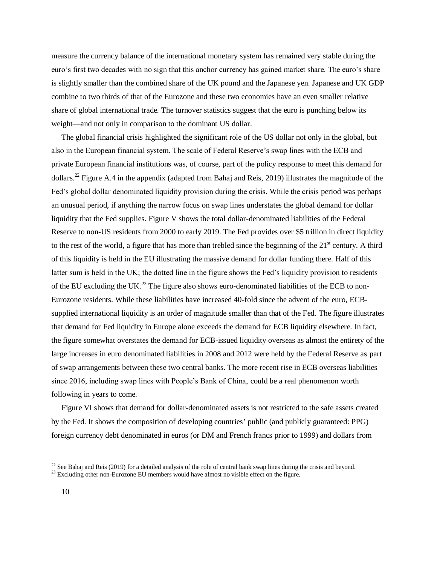measure the currency balance of the international monetary system has remained very stable during the euro's first two decades with no sign that this anchor currency has gained market share. The euro's share is slightly smaller than the combined share of the UK pound and the Japanese yen. Japanese and UK GDP combine to two thirds of that of the Eurozone and these two economies have an even smaller relative share of global international trade. The turnover statistics suggest that the euro is punching below its weight—and not only in comparison to the dominant US dollar.

The global financial crisis highlighted the significant role of the US dollar not only in the global, but also in the European financial system. The scale of Federal Reserve's swap lines with the ECB and private European financial institutions was, of course, part of the policy response to meet this demand for dollars.<sup>22</sup> Figure A.4 in the appendix (adapted from Bahaj and Reis, 2019) illustrates the magnitude of the Fed's global dollar denominated liquidity provision during the crisis. While the crisis period was perhaps an unusual period, if anything the narrow focus on swap lines understates the global demand for dollar liquidity that the Fed supplies. Figure V shows the total dollar-denominated liabilities of the Federal Reserve to non-US residents from 2000 to early 2019. The Fed provides over \$5 trillion in direct liquidity to the rest of the world, a figure that has more than trebled since the beginning of the  $21<sup>st</sup>$  century. A third of this liquidity is held in the EU illustrating the massive demand for dollar funding there. Half of this latter sum is held in the UK; the dotted line in the figure shows the Fed's liquidity provision to residents of the EU excluding the UK.<sup>23</sup> The figure also shows euro-denominated liabilities of the ECB to non-Eurozone residents. While these liabilities have increased 40-fold since the advent of the euro, ECBsupplied international liquidity is an order of magnitude smaller than that of the Fed. The figure illustrates that demand for Fed liquidity in Europe alone exceeds the demand for ECB liquidity elsewhere. In fact, the figure somewhat overstates the demand for ECB-issued liquidity overseas as almost the entirety of the large increases in euro denominated liabilities in 2008 and 2012 were held by the Federal Reserve as part of swap arrangements between these two central banks. The more recent rise in ECB overseas liabilities since 2016, including swap lines with People's Bank of China, could be a real phenomenon worth following in years to come.

Figure VI shows that demand for dollar-denominated assets is not restricted to the safe assets created by the Fed. It shows the composition of developing countries' public (and publicly guaranteed: PPG) foreign currency debt denominated in euros (or DM and French francs prior to 1999) and dollars from

<sup>&</sup>lt;sup>22</sup> See Bahaj and Reis (2019) for a detailed analysis of the role of central bank swap lines during the crisis and beyond.  $^{23}$  Excluding other non-Eurozone EU members would have almost no visible effect on the figure.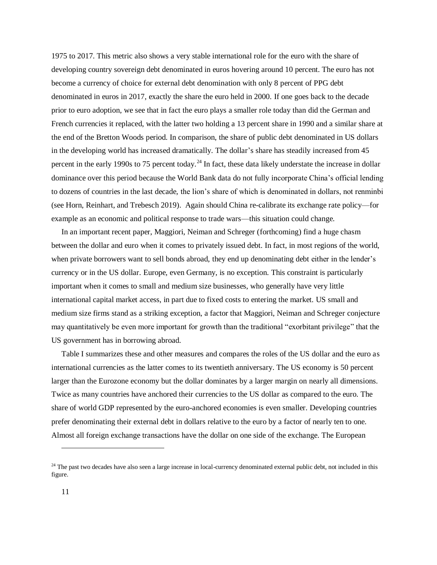1975 to 2017. This metric also shows a very stable international role for the euro with the share of developing country sovereign debt denominated in euros hovering around 10 percent. The euro has not become a currency of choice for external debt denomination with only 8 percent of PPG debt denominated in euros in 2017, exactly the share the euro held in 2000. If one goes back to the decade prior to euro adoption, we see that in fact the euro plays a smaller role today than did the German and French currencies it replaced, with the latter two holding a 13 percent share in 1990 and a similar share at the end of the Bretton Woods period. In comparison, the share of public debt denominated in US dollars in the developing world has increased dramatically. The dollar's share has steadily increased from 45 percent in the early 1990s to 75 percent today.<sup>24</sup> In fact, these data likely understate the increase in dollar dominance over this period because the World Bank data do not fully incorporate China's official lending to dozens of countries in the last decade, the lion's share of which is denominated in dollars, not renminbi (see Horn, Reinhart, and Trebesch 2019). Again should China re-calibrate its exchange rate policy—for example as an economic and political response to trade wars—this situation could change.

In an important recent paper, Maggiori, Neiman and Schreger (forthcoming) find a huge chasm between the dollar and euro when it comes to privately issued debt. In fact, in most regions of the world, when private borrowers want to sell bonds abroad, they end up denominating debt either in the lender's currency or in the US dollar. Europe, even Germany, is no exception. This constraint is particularly important when it comes to small and medium size businesses, who generally have very little international capital market access, in part due to fixed costs to entering the market. US small and medium size firms stand as a striking exception, a factor that Maggiori, Neiman and Schreger conjecture may quantitatively be even more important for growth than the traditional "exorbitant privilege" that the US government has in borrowing abroad.

Table I summarizes these and other measures and compares the roles of the US dollar and the euro as international currencies as the latter comes to its twentieth anniversary. The US economy is 50 percent larger than the Eurozone economy but the dollar dominates by a larger margin on nearly all dimensions. Twice as many countries have anchored their currencies to the US dollar as compared to the euro. The share of world GDP represented by the euro-anchored economies is even smaller. Developing countries prefer denominating their external debt in dollars relative to the euro by a factor of nearly ten to one. Almost all foreign exchange transactions have the dollar on one side of the exchange. The European

 $24$  The past two decades have also seen a large increase in local-currency denominated external public debt, not included in this figure.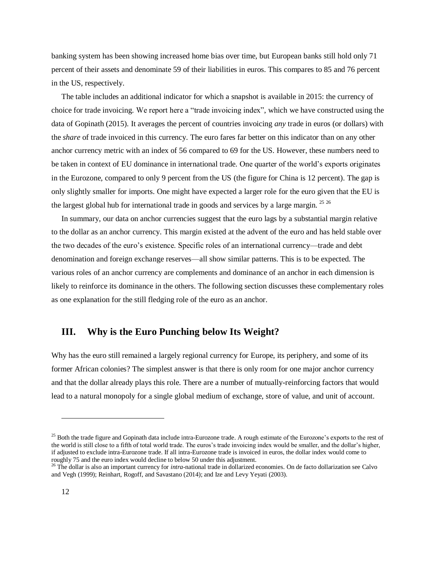banking system has been showing increased home bias over time, but European banks still hold only 71 percent of their assets and denominate 59 of their liabilities in euros. This compares to 85 and 76 percent in the US, respectively.

The table includes an additional indicator for which a snapshot is available in 2015: the currency of choice for trade invoicing. We report here a "trade invoicing index", which we have constructed using the data of Gopinath (2015). It averages the percent of countries invoicing *any* trade in euros (or dollars) with the *share* of trade invoiced in this currency. The euro fares far better on this indicator than on any other anchor currency metric with an index of 56 compared to 69 for the US. However, these numbers need to be taken in context of EU dominance in international trade. One quarter of the world's exports originates in the Eurozone, compared to only 9 percent from the US (the figure for China is 12 percent). The gap is only slightly smaller for imports. One might have expected a larger role for the euro given that the EU is the largest global hub for international trade in goods and services by a large margin.  $25\frac{26}{10}$ 

In summary, our data on anchor currencies suggest that the euro lags by a substantial margin relative to the dollar as an anchor currency. This margin existed at the advent of the euro and has held stable over the two decades of the euro's existence. Specific roles of an international currency—trade and debt denomination and foreign exchange reserves—all show similar patterns. This is to be expected. The various roles of an anchor currency are complements and dominance of an anchor in each dimension is likely to reinforce its dominance in the others. The following section discusses these complementary roles as one explanation for the still fledging role of the euro as an anchor.

### **III. Why is the Euro Punching below Its Weight?**

Why has the euro still remained a largely regional currency for Europe, its periphery, and some of its former African colonies? The simplest answer is that there is only room for one major anchor currency and that the dollar already plays this role. There are a number of mutually-reinforcing factors that would lead to a natural monopoly for a single global medium of exchange, store of value, and unit of account.

<sup>&</sup>lt;sup>25</sup> Both the trade figure and Gopinath data include intra-Eurozone trade. A rough estimate of the Eurozone's exports to the rest of the world is still close to a fifth of total world trade. The euros's trade invoicing index would be smaller, and the dollar's higher, if adjusted to exclude intra-Eurozone trade. If all intra-Eurozone trade is invoiced in euros, the dollar index would come to roughly 75 and the euro index would decline to below 50 under this adjustment.

<sup>&</sup>lt;sup>26</sup> The dollar is also an important currency for *intra*-national trade in dollarized economies. On de facto dollarization see Calvo and Vegh (1999); Reinhart, Rogoff, and Savastano (2014); and Ize and Levy Yeyati (2003).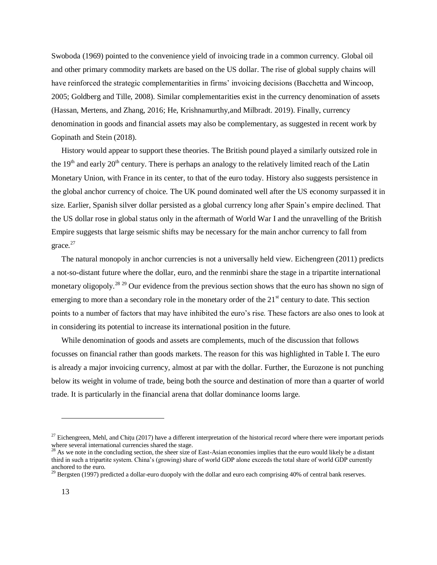Swoboda (1969) pointed to the convenience yield of invoicing trade in a common currency. Global oil and other primary commodity markets are based on the US dollar. The rise of global supply chains will have reinforced the strategic complementarities in firms' invoicing decisions (Bacchetta and Wincoop, 2005; Goldberg and Tille, 2008). Similar complementarities exist in the currency denomination of assets (Hassan, Mertens, and Zhang, 2016; He, Krishnamurthy,and Milbradt. 2019). Finally, currency denomination in goods and financial assets may also be complementary, as suggested in recent work by Gopinath and Stein (2018).

History would appear to support these theories. The British pound played a similarly outsized role in the  $19<sup>th</sup>$  and early  $20<sup>th</sup>$  century. There is perhaps an analogy to the relatively limited reach of the Latin Monetary Union, with France in its center, to that of the euro today. History also suggests persistence in the global anchor currency of choice. The UK pound dominated well after the US economy surpassed it in size. Earlier, Spanish silver dollar persisted as a global currency long after Spain's empire declined. That the US dollar rose in global status only in the aftermath of World War I and the unravelling of the British Empire suggests that large seismic shifts may be necessary for the main anchor currency to fall from grace.<sup>27</sup>

The natural monopoly in anchor currencies is not a universally held view. Eichengreen (2011) predicts a not-so-distant future where the dollar, euro, and the renminbi share the stage in a tripartite international monetary oligopoly.<sup>28</sup> <sup>29</sup> Our evidence from the previous section shows that the euro has shown no sign of emerging to more than a secondary role in the monetary order of the  $21<sup>st</sup>$  century to date. This section points to a number of factors that may have inhibited the euro's rise. These factors are also ones to look at in considering its potential to increase its international position in the future.

While denomination of goods and assets are complements, much of the discussion that follows focusses on financial rather than goods markets. The reason for this was highlighted in Table I. The euro is already a major invoicing currency, almost at par with the dollar. Further, the Eurozone is not punching below its weight in volume of trade, being both the source and destination of more than a quarter of world trade. It is particularly in the financial arena that dollar dominance looms large.

 $^{27}$  Eichengreen, Mehl, and Chitu (2017) have a different interpretation of the historical record where there were important periods where several international currencies shared the stage.

<sup>28</sup> As we note in the concluding section, the sheer size of East-Asian economies implies that the euro would likely be a distant third in such a tripartite system. China's (growing) share of world GDP alone exceeds the total share of world GDP currently anchored to the euro.

 $29$  Bergsten (1997) predicted a dollar-euro duopoly with the dollar and euro each comprising 40% of central bank reserves.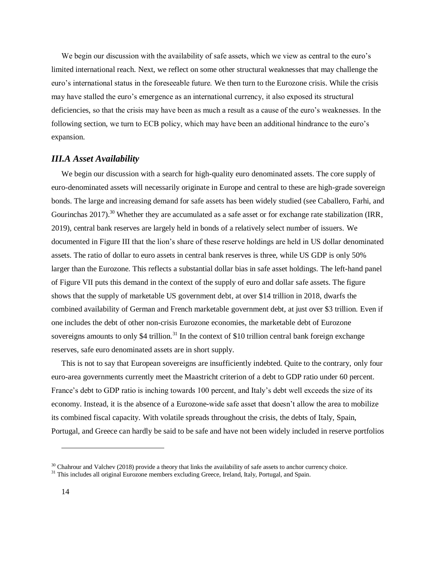We begin our discussion with the availability of safe assets, which we view as central to the euro's limited international reach. Next, we reflect on some other structural weaknesses that may challenge the euro's international status in the foreseeable future. We then turn to the Eurozone crisis. While the crisis may have stalled the euro's emergence as an international currency, it also exposed its structural deficiencies, so that the crisis may have been as much a result as a cause of the euro's weaknesses. In the following section, we turn to ECB policy, which may have been an additional hindrance to the euro's expansion.

### *III.A Asset Availability*

We begin our discussion with a search for high-quality euro denominated assets. The core supply of euro-denominated assets will necessarily originate in Europe and central to these are high-grade sovereign bonds. The large and increasing demand for safe assets has been widely studied (see Caballero, Farhi, and Gourinchas 2017).<sup>30</sup> Whether they are accumulated as a safe asset or for exchange rate stabilization (IRR, 2019), central bank reserves are largely held in bonds of a relatively select number of issuers. We documented in Figure III that the lion's share of these reserve holdings are held in US dollar denominated assets. The ratio of dollar to euro assets in central bank reserves is three, while US GDP is only 50% larger than the Eurozone. This reflects a substantial dollar bias in safe asset holdings. The left-hand panel of Figure VII puts this demand in the context of the supply of euro and dollar safe assets. The figure shows that the supply of marketable US government debt, at over \$14 trillion in 2018, dwarfs the combined availability of German and French marketable government debt, at just over \$3 trillion. Even if one includes the debt of other non-crisis Eurozone economies, the marketable debt of Eurozone sovereigns amounts to only \$4 trillion.<sup>31</sup> In the context of \$10 trillion central bank foreign exchange reserves, safe euro denominated assets are in short supply.

This is not to say that European sovereigns are insufficiently indebted. Quite to the contrary, only four euro-area governments currently meet the Maastricht criterion of a debt to GDP ratio under 60 percent. France's debt to GDP ratio is inching towards 100 percent, and Italy's debt well exceeds the size of its economy. Instead, it is the absence of a Eurozone-wide safe asset that doesn't allow the area to mobilize its combined fiscal capacity. With volatile spreads throughout the crisis, the debts of Italy, Spain, Portugal, and Greece can hardly be said to be safe and have not been widely included in reserve portfolios

 $30$  Chahrour and Valchev (2018) provide a theory that links the availability of safe assets to anchor currency choice.

<sup>&</sup>lt;sup>31</sup> This includes all original Eurozone members excluding Greece, Ireland, Italy, Portugal, and Spain.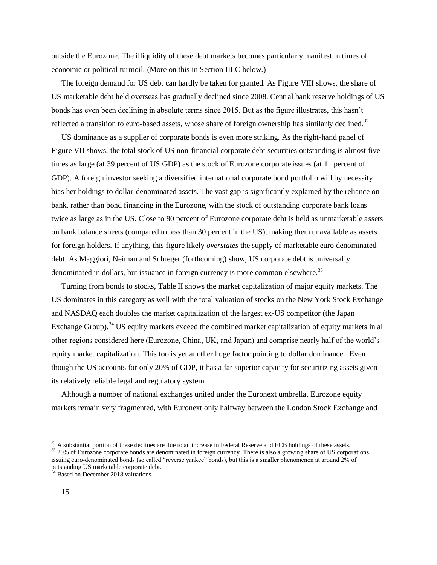outside the Eurozone. The illiquidity of these debt markets becomes particularly manifest in times of economic or political turmoil. (More on this in Section III.C below.)

The foreign demand for US debt can hardly be taken for granted. As Figure VIII shows, the share of US marketable debt held overseas has gradually declined since 2008. Central bank reserve holdings of US bonds has even been declining in absolute terms since 2015. But as the figure illustrates, this hasn't reflected a transition to euro-based assets, whose share of foreign ownership has similarly declined.<sup>32</sup>

US dominance as a supplier of corporate bonds is even more striking. As the right-hand panel of Figure VII shows, the total stock of US non-financial corporate debt securities outstanding is almost five times as large (at 39 percent of US GDP) as the stock of Eurozone corporate issues (at 11 percent of GDP). A foreign investor seeking a diversified international corporate bond portfolio will by necessity bias her holdings to dollar-denominated assets. The vast gap is significantly explained by the reliance on bank, rather than bond financing in the Eurozone, with the stock of outstanding corporate bank loans twice as large as in the US. Close to 80 percent of Eurozone corporate debt is held as unmarketable assets on bank balance sheets (compared to less than 30 percent in the US), making them unavailable as assets for foreign holders. If anything, this figure likely *overstates* the supply of marketable euro denominated debt. As Maggiori, Neiman and Schreger (forthcoming) show, US corporate debt is universally denominated in dollars, but issuance in foreign currency is more common elsewhere.<sup>33</sup>

Turning from bonds to stocks, Table II shows the market capitalization of major equity markets. The US dominates in this category as well with the total valuation of stocks on the New York Stock Exchange and NASDAQ each doubles the market capitalization of the largest ex-US competitor (the Japan Exchange Group).<sup>34</sup> US equity markets exceed the combined market capitalization of equity markets in all other regions considered here (Eurozone, China, UK, and Japan) and comprise nearly half of the world's equity market capitalization. This too is yet another huge factor pointing to dollar dominance. Even though the US accounts for only 20% of GDP, it has a far superior capacity for securitizing assets given its relatively reliable legal and regulatory system.

Although a number of national exchanges united under the Euronext umbrella, Eurozone equity markets remain very fragmented, with Euronext only halfway between the London Stock Exchange and

 $32$  A substantial portion of these declines are due to an increase in Federal Reserve and ECB holdings of these assets. <sup>33</sup> 20% of Eurozone corporate bonds are denominated in foreign currency. There is also a growing share of US corporations issuing euro-denominated bonds (so called "reverse yankee" bonds), but this is a smaller phenomenon at around 2% of outstanding US marketable corporate debt.

<sup>&</sup>lt;sup>34</sup> Based on December 2018 valuations.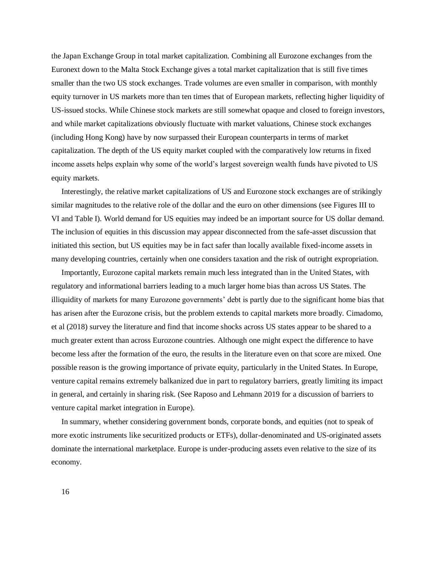the Japan Exchange Group in total market capitalization. Combining all Eurozone exchanges from the Euronext down to the Malta Stock Exchange gives a total market capitalization that is still five times smaller than the two US stock exchanges. Trade volumes are even smaller in comparison, with monthly equity turnover in US markets more than ten times that of European markets, reflecting higher liquidity of US-issued stocks. While Chinese stock markets are still somewhat opaque and closed to foreign investors, and while market capitalizations obviously fluctuate with market valuations, Chinese stock exchanges (including Hong Kong) have by now surpassed their European counterparts in terms of market capitalization. The depth of the US equity market coupled with the comparatively low returns in fixed income assets helps explain why some of the world's largest sovereign wealth funds have pivoted to US equity markets.

Interestingly, the relative market capitalizations of US and Eurozone stock exchanges are of strikingly similar magnitudes to the relative role of the dollar and the euro on other dimensions (see Figures III to VI and Table I). World demand for US equities may indeed be an important source for US dollar demand. The inclusion of equities in this discussion may appear disconnected from the safe-asset discussion that initiated this section, but US equities may be in fact safer than locally available fixed-income assets in many developing countries, certainly when one considers taxation and the risk of outright expropriation.

Importantly, Eurozone capital markets remain much less integrated than in the United States, with regulatory and informational barriers leading to a much larger home bias than across US States. The illiquidity of markets for many Eurozone governments' debt is partly due to the significant home bias that has arisen after the Eurozone crisis, but the problem extends to capital markets more broadly. Cimadomo, et al (2018) survey the literature and find that income shocks across US states appear to be shared to a much greater extent than across Eurozone countries. Although one might expect the difference to have become less after the formation of the euro, the results in the literature even on that score are mixed. One possible reason is the growing importance of private equity, particularly in the United States. In Europe, venture capital remains extremely balkanized due in part to regulatory barriers, greatly limiting its impact in general, and certainly in sharing risk. (See Raposo and Lehmann 2019 for a discussion of barriers to venture capital market integration in Europe).

In summary, whether considering government bonds, corporate bonds, and equities (not to speak of more exotic instruments like securitized products or ETFs), dollar-denominated and US-originated assets dominate the international marketplace. Europe is under-producing assets even relative to the size of its economy.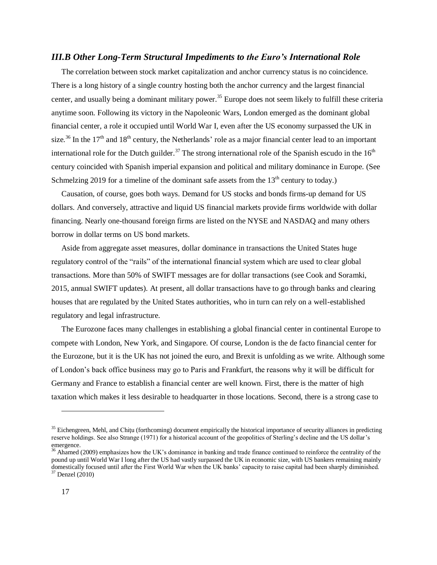### *III.B Other Long-Term Structural Impediments to the Euro's International Role*

 The correlation between stock market capitalization and anchor currency status is no coincidence. There is a long history of a single country hosting both the anchor currency and the largest financial center, and usually being a dominant military power.<sup>35</sup> Europe does not seem likely to fulfill these criteria anytime soon. Following its victory in the Napoleonic Wars, London emerged as the dominant global financial center, a role it occupied until World War I, even after the US economy surpassed the UK in size.<sup>36</sup> In the  $17<sup>th</sup>$  and  $18<sup>th</sup>$  century, the Netherlands' role as a major financial center lead to an important international role for the Dutch guilder.<sup>37</sup> The strong international role of the Spanish escudo in the  $16<sup>th</sup>$ century coincided with Spanish imperial expansion and political and military dominance in Europe. (See Schmelzing 2019 for a timeline of the dominant safe assets from the  $13<sup>th</sup>$  century to today.)

Causation, of course, goes both ways. Demand for US stocks and bonds firms-up demand for US dollars. And conversely, attractive and liquid US financial markets provide firms worldwide with dollar financing. Nearly one-thousand foreign firms are listed on the NYSE and NASDAQ and many others borrow in dollar terms on US bond markets.

Aside from aggregate asset measures, dollar dominance in transactions the United States huge regulatory control of the "rails" of the international financial system which are used to clear global transactions. More than 50% of SWIFT messages are for dollar transactions (see Cook and Soramki, 2015, annual SWIFT updates). At present, all dollar transactions have to go through banks and clearing houses that are regulated by the United States authorities, who in turn can rely on a well-established regulatory and legal infrastructure.

The Eurozone faces many challenges in establishing a global financial center in continental Europe to compete with London, New York, and Singapore. Of course, London is the de facto financial center for the Eurozone, but it is the UK has not joined the euro, and Brexit is unfolding as we write. Although some of London's back office business may go to Paris and Frankfurt, the reasons why it will be difficult for Germany and France to establish a financial center are well known. First, there is the matter of high taxation which makes it less desirable to headquarter in those locations. Second, there is a strong case to

<sup>&</sup>lt;sup>35</sup> Eichengreen, Mehl, and Chitu (forthcoming) document empirically the historical importance of security alliances in predicting reserve holdings. See also Strange (1971) for a historical account of the geopolitics of Sterling's decline and the US dollar's emergence.

 $<sup>6</sup>$  Ahamed (2009) emphasizes how the UK's dominance in banking and trade finance continued to reinforce the centrality of the</sup> pound up until World War I long after the US had vastly surpassed the UK in economic size, with US bankers remaining mainly domestically focused until after the First World War when the UK banks' capacity to raise capital had been sharply diminished.  $37$  Denzel (2010)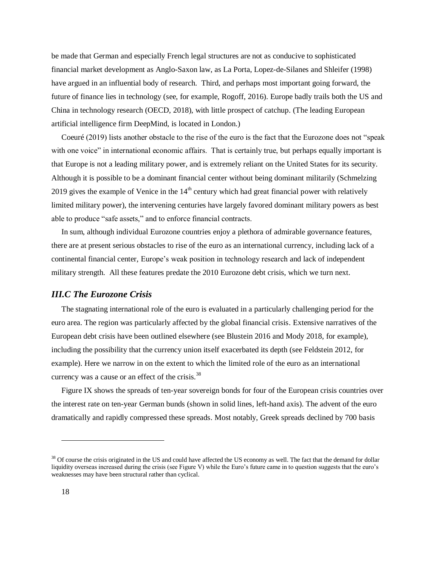be made that German and especially French legal structures are not as conducive to sophisticated financial market development as Anglo-Saxon law, as La Porta, Lopez-de-Silanes and Shleifer (1998) have argued in an influential body of research. Third, and perhaps most important going forward, the future of finance lies in technology (see, for example, Rogoff, 2016). Europe badly trails both the US and China in technology research (OECD, 2018), with little prospect of catchup. (The leading European artificial intelligence firm DeepMind, is located in London.)

Coeuré (2019) lists another obstacle to the rise of the euro is the fact that the Eurozone does not "speak with one voice" in international economic affairs. That is certainly true, but perhaps equally important is that Europe is not a leading military power, and is extremely reliant on the United States for its security. Although it is possible to be a dominant financial center without being dominant militarily (Schmelzing 2019 gives the example of Venice in the  $14<sup>th</sup>$  century which had great financial power with relatively limited military power), the intervening centuries have largely favored dominant military powers as best able to produce "safe assets," and to enforce financial contracts.

In sum, although individual Eurozone countries enjoy a plethora of admirable governance features, there are at present serious obstacles to rise of the euro as an international currency, including lack of a continental financial center, Europe's weak position in technology research and lack of independent military strength. All these features predate the 2010 Eurozone debt crisis, which we turn next.

### *III.C The Eurozone Crisis*

The stagnating international role of the euro is evaluated in a particularly challenging period for the euro area. The region was particularly affected by the global financial crisis. Extensive narratives of the European debt crisis have been outlined elsewhere (see Blustein 2016 and Mody 2018, for example), including the possibility that the currency union itself exacerbated its depth (see Feldstein 2012, for example). Here we narrow in on the extent to which the limited role of the euro as an international currency was a cause or an effect of the crisis.<sup>38</sup>

Figure IX shows the spreads of ten-year sovereign bonds for four of the European crisis countries over the interest rate on ten-year German bunds (shown in solid lines, left-hand axis). The advent of the euro dramatically and rapidly compressed these spreads. Most notably, Greek spreads declined by 700 basis

<sup>&</sup>lt;sup>38</sup> Of course the crisis originated in the US and could have affected the US economy as well. The fact that the demand for dollar liquidity overseas increased during the crisis (see Figure V) while the Euro's future came in to question suggests that the euro's weaknesses may have been structural rather than cyclical.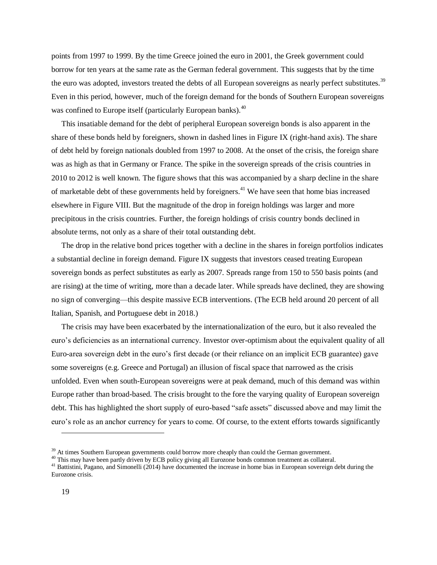points from 1997 to 1999. By the time Greece joined the euro in 2001, the Greek government could borrow for ten years at the same rate as the German federal government. This suggests that by the time the euro was adopted, investors treated the debts of all European sovereigns as nearly perfect substitutes.<sup>39</sup> Even in this period, however, much of the foreign demand for the bonds of Southern European sovereigns was confined to Europe itself (particularly European banks).<sup>40</sup>

This insatiable demand for the debt of peripheral European sovereign bonds is also apparent in the share of these bonds held by foreigners, shown in dashed lines in Figure IX (right-hand axis). The share of debt held by foreign nationals doubled from 1997 to 2008. At the onset of the crisis, the foreign share was as high as that in Germany or France. The spike in the sovereign spreads of the crisis countries in 2010 to 2012 is well known. The figure shows that this was accompanied by a sharp decline in the share of marketable debt of these governments held by foreigners.<sup>41</sup> We have seen that home bias increased elsewhere in Figure VIII. But the magnitude of the drop in foreign holdings was larger and more precipitous in the crisis countries. Further, the foreign holdings of crisis country bonds declined in absolute terms, not only as a share of their total outstanding debt.

The drop in the relative bond prices together with a decline in the shares in foreign portfolios indicates a substantial decline in foreign demand. Figure IX suggests that investors ceased treating European sovereign bonds as perfect substitutes as early as 2007. Spreads range from 150 to 550 basis points (and are rising) at the time of writing, more than a decade later. While spreads have declined, they are showing no sign of converging—this despite massive ECB interventions. (The ECB held around 20 percent of all Italian, Spanish, and Portuguese debt in 2018.)

The crisis may have been exacerbated by the internationalization of the euro, but it also revealed the euro's deficiencies as an international currency. Investor over-optimism about the equivalent quality of all Euro-area sovereign debt in the euro's first decade (or their reliance on an implicit ECB guarantee) gave some sovereigns (e.g. Greece and Portugal) an illusion of fiscal space that narrowed as the crisis unfolded. Even when south-European sovereigns were at peak demand, much of this demand was within Europe rather than broad-based. The crisis brought to the fore the varying quality of European sovereign debt. This has highlighted the short supply of euro-based "safe assets" discussed above and may limit the euro's role as an anchor currency for years to come. Of course, to the extent efforts towards significantly

 $39$  At times Southern European governments could borrow more cheaply than could the German government.

<sup>&</sup>lt;sup>40</sup> This may have been partly driven by ECB policy giving all Eurozone bonds common treatment as collateral.

<sup>&</sup>lt;sup>41</sup> Battistini, Pagano, and Simonelli (2014) have documented the increase in home bias in European sovereign debt during the Eurozone crisis.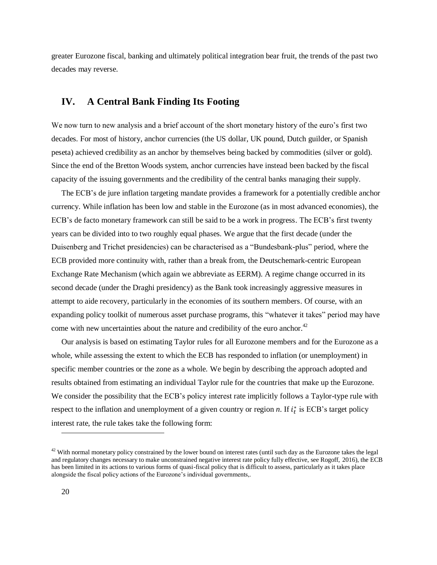greater Eurozone fiscal, banking and ultimately political integration bear fruit, the trends of the past two decades may reverse.

## **IV. A Central Bank Finding Its Footing**

We now turn to new analysis and a brief account of the short monetary history of the euro's first two decades. For most of history, anchor currencies (the US dollar, UK pound, Dutch guilder, or Spanish peseta) achieved credibility as an anchor by themselves being backed by commodities (silver or gold). Since the end of the Bretton Woods system, anchor currencies have instead been backed by the fiscal capacity of the issuing governments and the credibility of the central banks managing their supply.

The ECB's de jure inflation targeting mandate provides a framework for a potentially credible anchor currency. While inflation has been low and stable in the Eurozone (as in most advanced economies), the ECB's de facto monetary framework can still be said to be a work in progress. The ECB's first twenty years can be divided into to two roughly equal phases. We argue that the first decade (under the Duisenberg and Trichet presidencies) can be characterised as a "Bundesbank-plus" period, where the ECB provided more continuity with, rather than a break from, the Deutschemark-centric European Exchange Rate Mechanism (which again we abbreviate as EERM). A regime change occurred in its second decade (under the Draghi presidency) as the Bank took increasingly aggressive measures in attempt to aide recovery, particularly in the economies of its southern members. Of course, with an expanding policy toolkit of numerous asset purchase programs, this "whatever it takes" period may have come with new uncertainties about the nature and credibility of the euro anchor.<sup>42</sup>

Our analysis is based on estimating Taylor rules for all Eurozone members and for the Eurozone as a whole, while assessing the extent to which the ECB has responded to inflation (or unemployment) in specific member countries or the zone as a whole. We begin by describing the approach adopted and results obtained from estimating an individual Taylor rule for the countries that make up the Eurozone. We consider the possibility that the ECB's policy interest rate implicitly follows a Taylor-type rule with respect to the inflation and unemployment of a given country or region  $n$ . If  $i_t^*$  is ECB's target policy interest rate, the rule takes take the following form:

 $42$  With normal monetary policy constrained by the lower bound on interest rates (until such day as the Eurozone takes the legal and regulatory changes necessary to make unconstrained negative interest rate policy fully effective, see Rogoff, 2016), the ECB has been limited in its actions to various forms of quasi-fiscal policy that is difficult to assess, particularly as it takes place alongside the fiscal policy actions of the Eurozone's individual governments,.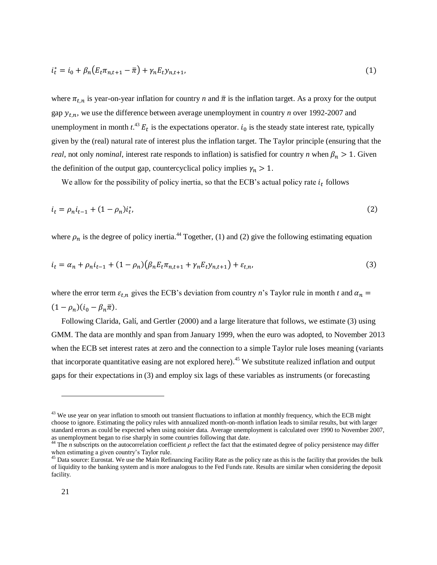$$
i_t^* = i_0 + \beta_n \left( E_t \pi_{n,t+1} - \bar{\pi} \right) + \gamma_n E_t \gamma_{n,t+1}, \tag{1}
$$

where  $\pi_{t,n}$  is year-on-year inflation for country *n* and  $\bar{\pi}$  is the inflation target. As a proxy for the output gap  $y_{t,n}$ , we use the difference between average unemployment in country *n* over 1992-2007 and unemployment in month  $t^{43} E_t$  is the expectations operator.  $i_0$  is the steady state interest rate, typically given by the (real) natural rate of interest plus the inflation target. The Taylor principle (ensuring that the *real*, not only *nominal*, interest rate responds to inflation) is satisfied for country *n* when  $\beta_n > 1$ . Given the definition of the output gap, countercyclical policy implies  $\gamma_n > 1$ .

We allow for the possibility of policy inertia, so that the ECB's actual policy rate  $i_t$  follows

$$
i_t = \rho_n i_{t-1} + (1 - \rho_n) i_t^*,\tag{2}
$$

where  $\rho_n$  is the degree of policy inertia.<sup>44</sup> Together, (1) and (2) give the following estimating equation

$$
i_t = \alpha_n + \rho_n i_{t-1} + (1 - \rho_n) (\beta_n E_t \pi_{n,t+1} + \gamma_n E_t y_{n,t+1}) + \varepsilon_{t,n},
$$
\n(3)

where the error term  $\varepsilon_{t,n}$  gives the ECB's deviation from country *n*'s Taylor rule in month *t* and  $\alpha_n =$  $(1 - \rho_n)(i_0 - \beta_n \bar{\pi}).$ 

Following Clarida, Galí, and Gertler (2000) and a large literature that follows, we estimate (3) using GMM. The data are monthly and span from January 1999, when the euro was adopted, to November 2013 when the ECB set interest rates at zero and the connection to a simple Taylor rule loses meaning (variants that incorporate quantitative easing are not explored here).<sup>45</sup> We substitute realized inflation and output gaps for their expectations in (3) and employ six lags of these variables as instruments (or forecasting

<sup>&</sup>lt;sup>43</sup> We use year on year inflation to smooth out transient fluctuations to inflation at monthly frequency, which the ECB might choose to ignore. Estimating the policy rules with annualized month-on-month inflation leads to similar results, but with larger standard errors as could be expected when using noisier data. Average unemployment is calculated over 1990 to November 2007, as unemployment began to rise sharply in some countries following that date.

<sup>&</sup>lt;sup>44</sup> The *n* subscripts on the autocorrelation coefficient  $\rho$  reflect the fact that the estimated degree of policy persistence may differ when estimating a given country's Taylor rule.

<sup>&</sup>lt;sup>45</sup> Data source: Eurostat. We use the Main Refinancing Facility Rate as the policy rate as this is the facility that provides the bulk of liquidity to the banking system and is more analogous to the Fed Funds rate. Results are similar when considering the deposit facility.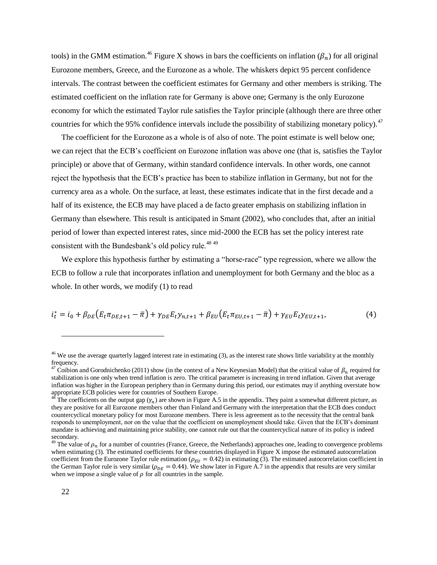tools) in the GMM estimation.<sup>46</sup> Figure X shows in bars the coefficients on inflation  $(\beta_n)$  for all original Eurozone members, Greece, and the Eurozone as a whole. The whiskers depict 95 percent confidence intervals. The contrast between the coefficient estimates for Germany and other members is striking. The estimated coefficient on the inflation rate for Germany is above one; Germany is the only Eurozone economy for which the estimated Taylor rule satisfies the Taylor principle (although there are three other countries for which the 95% confidence intervals include the possibility of stabilizing monetary policy).<sup>47</sup>

The coefficient for the Eurozone as a whole is of also of note. The point estimate is well below one; we can reject that the ECB's coefficient on Eurozone inflation was above one (that is, satisfies the Taylor principle) or above that of Germany, within standard confidence intervals. In other words, one cannot reject the hypothesis that the ECB's practice has been to stabilize inflation in Germany, but not for the currency area as a whole. On the surface, at least, these estimates indicate that in the first decade and a half of its existence, the ECB may have placed a de facto greater emphasis on stabilizing inflation in Germany than elsewhere. This result is anticipated in Smant (2002), who concludes that, after an initial period of lower than expected interest rates, since mid-2000 the ECB has set the policy interest rate consistent with the Bundesbank's old policy rule.<sup>48 49</sup>

We explore this hypothesis further by estimating a "horse-race" type regression, where we allow the ECB to follow a rule that incorporates inflation and unemployment for both Germany and the bloc as a whole. In other words, we modify (1) to read

$$
i_t^* = i_0 + \beta_{DE} (E_t \pi_{DE, t+1} - \bar{\pi}) + \gamma_{DE} E_t y_{n, t+1} + \beta_{EU} (E_t \pi_{EU, t+1} - \bar{\pi}) + \gamma_{EU} E_t y_{EU, t+1},
$$
(4)

<sup>&</sup>lt;sup>46</sup> We use the average quarterly lagged interest rate in estimating  $(3)$ , as the interest rate shows little variability at the monthly frequency.

<sup>&</sup>lt;sup>47</sup> Coibion and Gorodnichenko (2011) show (in the context of a New Keynesian Model) that the critical value of  $\beta_n$  required for stabilization is one only when trend inflation is zero. The critical parameter is increasing in trend inflation. Given that average inflation was higher in the European periphery than in Germany during this period, our estimates may if anything overstate how appropriate ECB policies were for countries of Southern Europe.

The coefficients on the output gap  $(y_n)$  are shown in Figure A.5 in the appendix. They paint a somewhat different picture, as they are positive for all Eurozone members other than Finland and Germany with the interpretation that the ECB does conduct countercyclical monetary policy for most Eurozone members. There is less agreement as to the necessity that the central bank responds to unemployment, nor on the value that the coefficient on unemployment should take. Given that the ECB's dominant mandate is achieving and maintaining price stability, one cannot rule out that the countercyclical nature of its policy is indeed secondary.

<sup>&</sup>lt;sup>49</sup> The value of  $\rho_n$  for a number of countries (France, Greece, the Netherlands) approaches one, leading to convergence problems when estimating (3). The estimated coefficients for these countries displayed in Figure X impose the estimated autocorrelation coefficient from the Eurozone Taylor rule estimation ( $\rho_{EU} = 0.42$ ) in estimating (3). The estimated autocorrelation coefficient in the German Taylor rule is very similar  $(\rho_{DE} = 0.44)$ . We show later in Figure A.7 in the appendix that results are very similar when we impose a single value of  $\rho$  for all countries in the sample.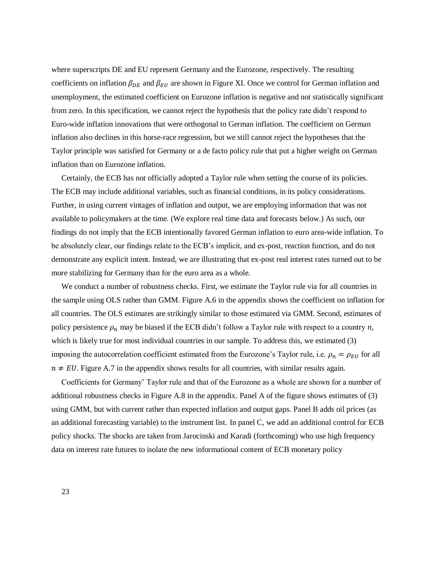where superscripts DE and EU represent Germany and the Eurozone, respectively. The resulting coefficients on inflation  $\beta_{DE}$  and  $\beta_{EU}$  are shown in Figure XI. Once we control for German inflation and unemployment, the estimated coefficient on Eurozone inflation is negative and not statistically significant from zero. In this specification, we cannot reject the hypothesis that the policy rate didn't respond to Euro-wide inflation innovations that were orthogonal to German inflation. The coefficient on German inflation also declines in this horse-race regression, but we still cannot reject the hypotheses that the Taylor principle was satisfied for Germany or a de facto policy rule that put a higher weight on German inflation than on Eurozone inflation.

Certainly, the ECB has not officially adopted a Taylor rule when setting the course of its policies. The ECB may include additional variables, such as financial conditions, in its policy considerations. Further, in using current vintages of inflation and output, we are employing information that was not available to policymakers at the time. (We explore real time data and forecasts below.) As such, our findings do not imply that the ECB intentionally favored German inflation to euro area-wide inflation. To be absolutely clear, our findings relate to the ECB's implicit, and ex-post, reaction function, and do not demonstrate any explicit intent. Instead, we are illustrating that ex-post real interest rates turned out to be more stabilizing for Germany than for the euro area as a whole.

We conduct a number of robustness checks. First, we estimate the Taylor rule via for all countries in the sample using OLS rather than GMM. Figure A.6 in the appendix shows the coefficient on inflation for all countries. The OLS estimates are strikingly similar to those estimated via GMM. Second, estimates of policy persistence  $\rho_n$  may be biased if the ECB didn't follow a Taylor rule with respect to a country *n*, which is likely true for most individual countries in our sample. To address this, we estimated (3) imposing the autocorrelation coefficient estimated from the Eurozone's Taylor rule, i.e.  $\rho_n = \rho_{EU}$  for all  $n \neq EU$ . Figure A.7 in the appendix shows results for all countries, with similar results again.

Coefficients for Germany' Taylor rule and that of the Eurozone as a whole are shown for a number of additional robustness checks in Figure A.8 in the appendix. Panel A of the figure shows estimates of (3) using GMM, but with current rather than expected inflation and output gaps. Panel B adds oil prices (as an additional forecasting variable) to the instrument list. In panel C, we add an additional control for ECB policy shocks. The shocks are taken from Jarocinski and Karadi (forthcoming) who use high frequency data on interest rate futures to isolate the new informational content of ECB monetary policy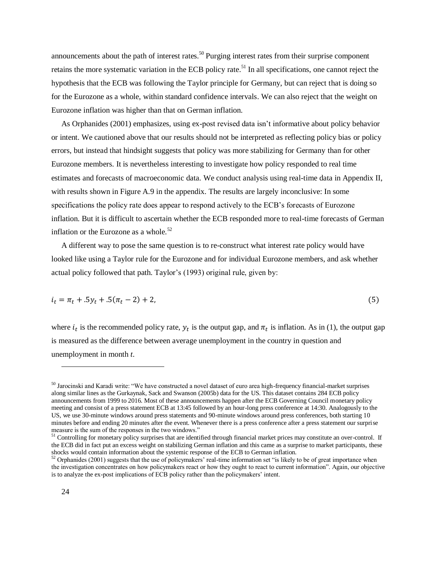announcements about the path of interest rates.<sup>50</sup> Purging interest rates from their surprise component retains the more systematic variation in the ECB policy rate.<sup>51</sup> In all specifications, one cannot reject the hypothesis that the ECB was following the Taylor principle for Germany, but can reject that is doing so for the Eurozone as a whole, within standard confidence intervals. We can also reject that the weight on Eurozone inflation was higher than that on German inflation.

As Orphanides (2001) emphasizes, using ex-post revised data isn't informative about policy behavior or intent. We cautioned above that our results should not be interpreted as reflecting policy bias or policy errors, but instead that hindsight suggests that policy was more stabilizing for Germany than for other Eurozone members. It is nevertheless interesting to investigate how policy responded to real time estimates and forecasts of macroeconomic data. We conduct analysis using real-time data in Appendix II, with results shown in Figure A.9 in the appendix. The results are largely inconclusive: In some specifications the policy rate does appear to respond actively to the ECB's forecasts of Eurozone inflation. But it is difficult to ascertain whether the ECB responded more to real-time forecasts of German inflation or the Eurozone as a whole. $52$ 

A different way to pose the same question is to re-construct what interest rate policy would have looked like using a Taylor rule for the Eurozone and for individual Eurozone members, and ask whether actual policy followed that path. Taylor's (1993) original rule, given by:

$$
i_t = \pi_t + .5y_t + .5(\pi_t - 2) + 2,\tag{5}
$$

where  $i_t$  is the recommended policy rate,  $y_t$  is the output gap, and  $\pi_t$  is inflation. As in (1), the output gap is measured as the difference between average unemployment in the country in question and unemployment in month *t*.

<sup>&</sup>lt;sup>50</sup> Jarocinski and Karadi write: "We have constructed a novel dataset of euro area high-frequency financial-market surprises along similar lines as the Gurkaynak, Sack and Swanson (2005b) data for the US. This dataset contains 284 ECB policy announcements from 1999 to 2016. Most of these announcements happen after the ECB Governing Council monetary policy meeting and consist of a press statement ECB at 13:45 followed by an hour-long press conference at 14:30. Analogously to the US, we use 30-minute windows around press statements and 90-minute windows around press conferences, both starting 10 minutes before and ending 20 minutes after the event. Whenever there is a press conference after a press statement our surprise measure is the sum of the responses in the two windows."

<sup>&</sup>lt;sup>51</sup> Controlling for monetary policy surprises that are identified through financial market prices may constitute an over-control. If the ECB did in fact put an excess weight on stabilizing German inflation and this came as a surprise to market participants, these shocks would contain information about the systemic response of the ECB to German inflation.

 $52$  Orphanides (2001) suggests that the use of policymakers' real-time information set "is likely to be of great importance when the investigation concentrates on how policymakers react or how they ought to react to current information". Again, our objective is to analyze the ex-post implications of ECB policy rather than the policymakers' intent.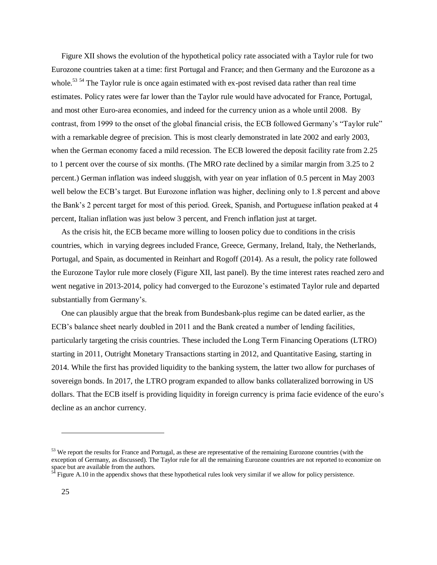Figure XII shows the evolution of the hypothetical policy rate associated with a Taylor rule for two Eurozone countries taken at a time: first Portugal and France; and then Germany and the Eurozone as a whole.<sup>53 54</sup> The Taylor rule is once again estimated with ex-post revised data rather than real time estimates. Policy rates were far lower than the Taylor rule would have advocated for France, Portugal, and most other Euro-area economies, and indeed for the currency union as a whole until 2008. By contrast, from 1999 to the onset of the global financial crisis, the ECB followed Germany's "Taylor rule" with a remarkable degree of precision. This is most clearly demonstrated in late 2002 and early 2003, when the German economy faced a mild recession. The ECB lowered the deposit facility rate from 2.25 to 1 percent over the course of six months. (The MRO rate declined by a similar margin from 3.25 to 2 percent.) German inflation was indeed sluggish, with year on year inflation of 0.5 percent in May 2003 well below the ECB's target. But Eurozone inflation was higher, declining only to 1.8 percent and above the Bank's 2 percent target for most of this period. Greek, Spanish, and Portuguese inflation peaked at 4 percent, Italian inflation was just below 3 percent, and French inflation just at target.

As the crisis hit, the ECB became more willing to loosen policy due to conditions in the crisis countries, which in varying degrees included France, Greece, Germany, Ireland, Italy, the Netherlands, Portugal, and Spain, as documented in Reinhart and Rogoff (2014). As a result, the policy rate followed the Eurozone Taylor rule more closely (Figure XII, last panel). By the time interest rates reached zero and went negative in 2013-2014, policy had converged to the Eurozone's estimated Taylor rule and departed substantially from Germany's.

One can plausibly argue that the break from Bundesbank-plus regime can be dated earlier, as the ECB's balance sheet nearly doubled in 2011 and the Bank created a number of lending facilities, particularly targeting the crisis countries. These included the Long Term Financing Operations (LTRO) starting in 2011, Outright Monetary Transactions starting in 2012, and Quantitative Easing, starting in 2014. While the first has provided liquidity to the banking system, the latter two allow for purchases of sovereign bonds. In 2017, the LTRO program expanded to allow banks collateralized borrowing in US dollars. That the ECB itself is providing liquidity in foreign currency is prima facie evidence of the euro's decline as an anchor currency.

 $53$  We report the results for France and Portugal, as these are representative of the remaining Eurozone countries (with the exception of Germany, as discussed). The Taylor rule for all the remaining Eurozone countries are not reported to economize on space but are available from the authors.

Figure A.10 in the appendix shows that these hypothetical rules look very similar if we allow for policy persistence.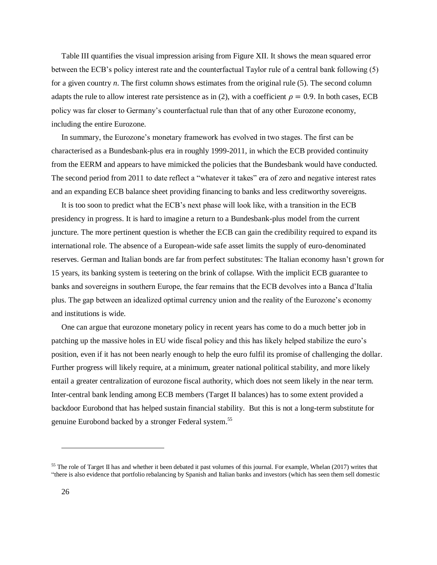Table III quantifies the visual impression arising from Figure XII. It shows the mean squared error between the ECB's policy interest rate and the counterfactual Taylor rule of a central bank following (5) for a given country *n*. The first column shows estimates from the original rule (5). The second column adapts the rule to allow interest rate persistence as in (2), with a coefficient  $\rho = 0.9$ . In both cases, ECB policy was far closer to Germany's counterfactual rule than that of any other Eurozone economy, including the entire Eurozone.

In summary, the Eurozone's monetary framework has evolved in two stages. The first can be characterised as a Bundesbank-plus era in roughly 1999-2011, in which the ECB provided continuity from the EERM and appears to have mimicked the policies that the Bundesbank would have conducted. The second period from 2011 to date reflect a "whatever it takes" era of zero and negative interest rates and an expanding ECB balance sheet providing financing to banks and less creditworthy sovereigns.

It is too soon to predict what the ECB's next phase will look like, with a transition in the ECB presidency in progress. It is hard to imagine a return to a Bundesbank-plus model from the current juncture. The more pertinent question is whether the ECB can gain the credibility required to expand its international role. The absence of a European-wide safe asset limits the supply of euro-denominated reserves. German and Italian bonds are far from perfect substitutes: The Italian economy hasn't grown for 15 years, its banking system is teetering on the brink of collapse. With the implicit ECB guarantee to banks and sovereigns in southern Europe, the fear remains that the ECB devolves into a Banca d'Italia plus. The gap between an idealized optimal currency union and the reality of the Eurozone's economy and institutions is wide.

One can argue that eurozone monetary policy in recent years has come to do a much better job in patching up the massive holes in EU wide fiscal policy and this has likely helped stabilize the euro's position, even if it has not been nearly enough to help the euro fulfil its promise of challenging the dollar. Further progress will likely require, at a minimum, greater national political stability, and more likely entail a greater centralization of eurozone fiscal authority, which does not seem likely in the near term. Inter-central bank lending among ECB members (Target II balances) has to some extent provided a backdoor Eurobond that has helped sustain financial stability. But this is not a long-term substitute for genuine Eurobond backed by a stronger Federal system. 55

<sup>&</sup>lt;sup>55</sup> The role of Target II has and whether it been debated it past volumes of this journal. For example, Whelan (2017) writes that "there is also evidence that portfolio rebalancing by Spanish and Italian banks and investors (which has seen them sell domestic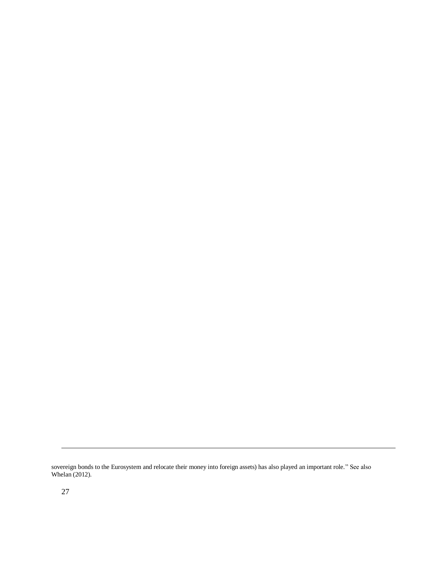sovereign bonds to the Eurosystem and relocate their money into foreign assets) has also played an important role." See also Whelan (2012).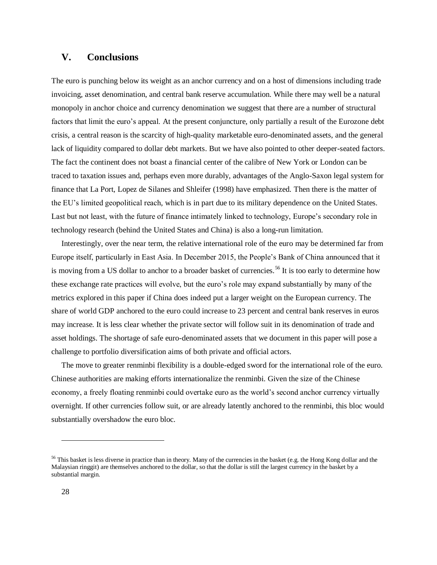# **V. Conclusions**

The euro is punching below its weight as an anchor currency and on a host of dimensions including trade invoicing, asset denomination, and central bank reserve accumulation. While there may well be a natural monopoly in anchor choice and currency denomination we suggest that there are a number of structural factors that limit the euro's appeal. At the present conjuncture, only partially a result of the Eurozone debt crisis, a central reason is the scarcity of high-quality marketable euro-denominated assets, and the general lack of liquidity compared to dollar debt markets. But we have also pointed to other deeper-seated factors. The fact the continent does not boast a financial center of the calibre of New York or London can be traced to taxation issues and, perhaps even more durably, advantages of the Anglo-Saxon legal system for finance that La Port, Lopez de Silanes and Shleifer (1998) have emphasized. Then there is the matter of the EU's limited geopolitical reach, which is in part due to its military dependence on the United States. Last but not least, with the future of finance intimately linked to technology, Europe's secondary role in technology research (behind the United States and China) is also a long-run limitation.

Interestingly, over the near term, the relative international role of the euro may be determined far from Europe itself, particularly in East Asia. In December 2015, the People's Bank of China announced that it is moving from a US dollar to anchor to a broader basket of currencies.<sup>56</sup> It is too early to determine how these exchange rate practices will evolve, but the euro's role may expand substantially by many of the metrics explored in this paper if China does indeed put a larger weight on the European currency. The share of world GDP anchored to the euro could increase to 23 percent and central bank reserves in euros may increase. It is less clear whether the private sector will follow suit in its denomination of trade and asset holdings. The shortage of safe euro-denominated assets that we document in this paper will pose a challenge to portfolio diversification aims of both private and official actors.

The move to greater renminbi flexibility is a double-edged sword for the international role of the euro. Chinese authorities are making efforts internationalize the renminbi. Given the size of the Chinese economy, a freely floating renminbi could overtake euro as the world's second anchor currency virtually overnight. If other currencies follow suit, or are already latently anchored to the renminbi, this bloc would substantially overshadow the euro bloc.

<sup>&</sup>lt;sup>56</sup> This basket is less diverse in practice than in theory. Many of the currencies in the basket (e.g. the Hong Kong dollar and the Malaysian ringgit) are themselves anchored to the dollar, so that the dollar is still the largest currency in the basket by a substantial margin.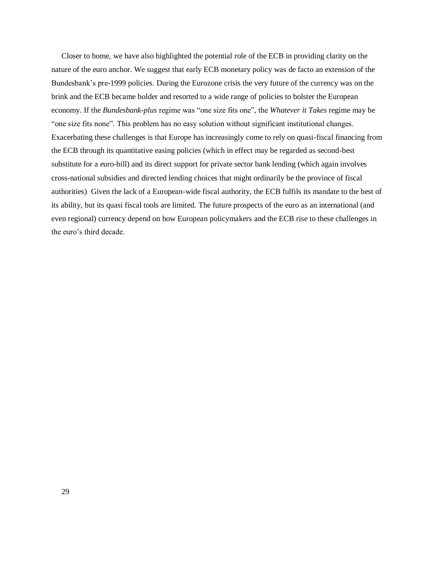Closer to home, we have also highlighted the potential role of the ECB in providing clarity on the nature of the euro anchor. We suggest that early ECB monetary policy was de facto an extension of the Bundesbank's pre-1999 policies. During the Eurozone crisis the very future of the currency was on the brink and the ECB became bolder and resorted to a wide range of policies to bolster the European economy. If the *Bundesbank-plus* regime was "one size fits one", the *Whatever it Takes* regime may be "one size fits none". This problem has no easy solution without significant institutional changes. Exacerbating these challenges is that Europe has increasingly come to rely on quasi-fiscal financing from the ECB through its quantitative easing policies (which in effect may be regarded as second-best substitute for a euro-bill) and its direct support for private sector bank lending (which again involves cross-national subsidies and directed lending choices that might ordinarily be the province of fiscal authorities) Given the lack of a European-wide fiscal authority, the ECB fulfils its mandate to the best of its ability, but its quasi fiscal tools are limited. The future prospects of the euro as an international (and even regional) currency depend on how European policymakers and the ECB rise to these challenges in the euro's third decade.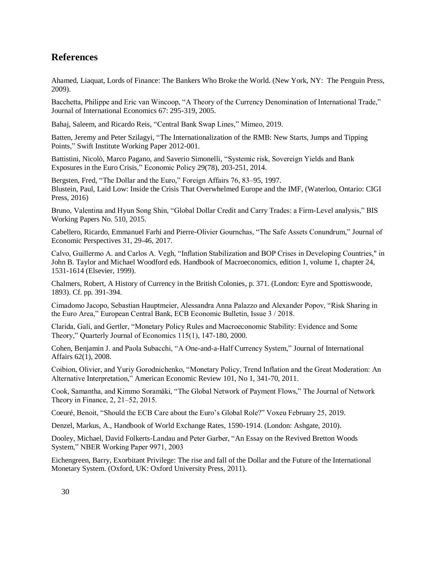# **References**

Ahamed, Liaquat*,* Lords of Finance: The Bankers Who Broke the World. (New York, NY: The Penguin Press, 2009).

Bacchetta, Philippe and Eric van Wincoop, "A Theory of the Currency Denomination of International Trade," Journal of International Economics 67: 295-319, 2005.

Bahaj, Saleem, and Ricardo Reis, "Central Bank Swap Lines," Mimeo, 2019.

Batten, Jeremy and Peter Szilagyi, "The Internationalization of the RMB: New Starts, Jumps and Tipping Points," Swift Institute Working Paper 2012-001.

Battistini, Nicolò, Marco Pagano, and Saverio Simonelli, "Systemic risk, Sovereign Yields and Bank Exposures in the Euro Crisis," Economic Policy 29(78), 203-251, 2014.

Bergsten, Fred, "The Dollar and the Euro," Foreign Affairs 76, 83–95, 1997. Blustein, Paul, Laid Low: Inside the Crisis That Overwhelmed Europe and the IMF, (Waterloo, Ontario: CIGI Press, 2016)

Bruno, Valentina and Hyun Song Shin, "Global Dollar Credit and Carry Trades: a Firm-Level analysis," BIS Working Papers No. 510, 2015.

Cabellero, Ricardo, Emmanuel Farhi and Pierre-Olivier Gournchas, "The Safe Assets Conundrum," Journal of Economic Perspectives 31, 29-46, 2017.

Calvo, Guillermo A. and Carlos A. Vegh, "Inflation Stabilization and BOP Crises in Developing Countries," in John B. Taylor and Michael Woodford eds. Handbook of Macroeconomics, edition 1, volume 1, chapter 24, 1531-1614 (Elsevier, 1999).

Chalmers, Robert, A History of Currency in the British Colonies, p. 371. (London: Eyre and Spottiswoode, 1893). Cf. pp. 391-394.

Cimadomo Jacopo, Sebastian Hauptmeier, Alessandra Anna Palazzo and Alexander Popov, "Risk Sharing in the Euro Area," European Central Bank, ECB Economic Bulletin, Issue 3 / 2018.

Clarida, Galí, and Gertler, "Monetary Policy Rules and Macroeconomic Stability: Evidence and Some Theory," Quarterly Journal of Economics 115(1), 147-180, 2000.

Cohen, Benjamin J. and Paola Subacchi, "A One-and-a-Half Currency System," Journal of International Affairs 62(1), 2008.

Coibion, Olivier, and Yuriy Gorodnichenko, "Monetary Policy, Trend Inflation and the Great Moderation: An Alternative Interpretation," American Economic Review 101, No 1, 341-70, 2011.

Cook, Samantha, and Kimmo Soramäki, "The Global Network of Payment Flows," The Journal of Network Theory in Finance, 2, 21–52, 2015.

Coeuré, Benoit, "Should the ECB Care about the Euro's Global Role?" Voxeu February 25, 2019.

Denzel, Markus, A., Handbook of World Exchange Rates, 1590-1914. (London: Ashgate, 2010).

Dooley, Michael, David Folkerts-Landau and Peter Garber, "An Essay on the Revived Bretton Woods System," NBER Working Paper 9971, 2003

Eichengreen, Barry, Exorbitant Privilege: The rise and fall of the Dollar and the Future of the International Monetary System. (Oxford, UK: Oxford University Press, 2011).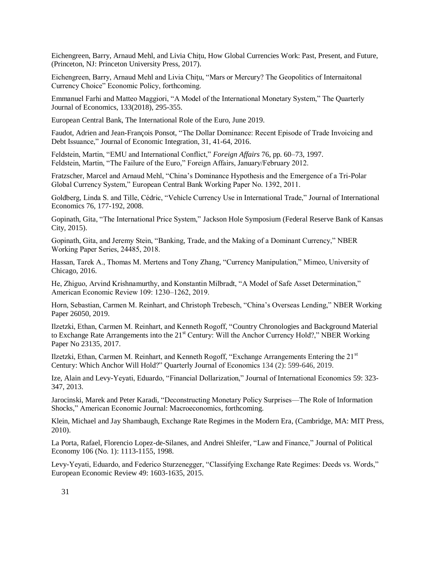Eichengreen, Barry, Arnaud Mehl, and Livia Chiţu, How Global Currencies Work: Past, Present, and Future, (Princeton, NJ: Princeton University Press, 2017).

Eichengreen, Barry, Arnaud Mehl and Livia Chiţu, "Mars or Mercury? The Geopolitics of Internaitonal Currency Choice" Economic Policy, forthcoming.

Emmanuel Farhi and Matteo Maggiori, "A Model of the International Monetary System," The Quarterly Journal of Economics, 133(2018), 295-355.

European Central Bank, The International Role of the Euro, June 2019.

Faudot, Adrien and Jean-François Ponsot, "The Dollar Dominance: Recent Episode of Trade Invoicing and Debt Issuance," Journal of Economic Integration, 31, 41-64, 2016.

Feldstein, Martin, "EMU and International Conflict," *Foreign Affairs* 76, pp. 60–73, 1997. Feldstein, Martin, "The Failure of the Euro," Foreign Affairs, January/February 2012.

Fratzscher, Marcel and Arnaud Mehl, "China's Dominance Hypothesis and the Emergence of a Tri-Polar Global Currency System," European Central Bank Working Paper No. 1392, 2011.

Goldberg, Linda S. and Tille, Cédric, "Vehicle Currency Use in International Trade," Journal of International Economics 76, 177-192, 2008.

Gopinath, Gita, "The International Price System," Jackson Hole Symposium (Federal Reserve Bank of Kansas City, 2015).

Gopinath, Gita, and Jeremy Stein, "Banking, Trade, and the Making of a Dominant Currency," NBER Working Paper Series, 24485, 2018.

Hassan, Tarek A., Thomas M. Mertens and Tony Zhang, "Currency Manipulation," Mimeo, University of Chicago, 2016.

He, Zhiguo, Arvind Krishnamurthy, and Konstantin Milbradt, "A Model of Safe Asset Determination," American Economic Review 109: 1230–1262, 2019.

Horn, Sebastian, Carmen M. Reinhart, and Christoph Trebesch, "China's Overseas Lending," NBER Working Paper 26050, 2019.

Ilzetzki, Ethan, Carmen M. Reinhart, and Kenneth Rogoff, "Country Chronologies and Background Material to Exchange Rate Arrangements into the 21<sup>st</sup> Century: Will the Anchor Currency Hold?," NBER Working Paper No 23135, 2017.

Ilzetzki, Ethan, Carmen M. Reinhart, and Kenneth Rogoff, "Exchange Arrangements Entering the 21<sup>st</sup> Century: Which Anchor Will Hold?" Quarterly Journal of Economics 134 (2): 599-646, 2019.

Ize, Alain and Levy-Yeyati, Eduardo, "Financial Dollarization," Journal of International Economics 59: 323- 347, 2013.

Jarocinski, Marek and Peter Karadi, "Deconstructing Monetary Policy Surprises—The Role of Information Shocks," American Economic Journal: Macroeconomics, forthcoming.

Klein, Michael and Jay Shambaugh, Exchange Rate Regimes in the Modern Era, (Cambridge, MA: MIT Press, 2010).

La Porta, Rafael, Florencio Lopez-de-Silanes, and Andrei Shleifer, "Law and Finance," Journal of Political Economy 106 (No. 1): 1113-1155, 1998.

Levy-Yeyati, Eduardo, and Federico Sturzenegger, "Classifying Exchange Rate Regimes: Deeds vs. Words," European Economic Review 49: 1603-1635, 2015.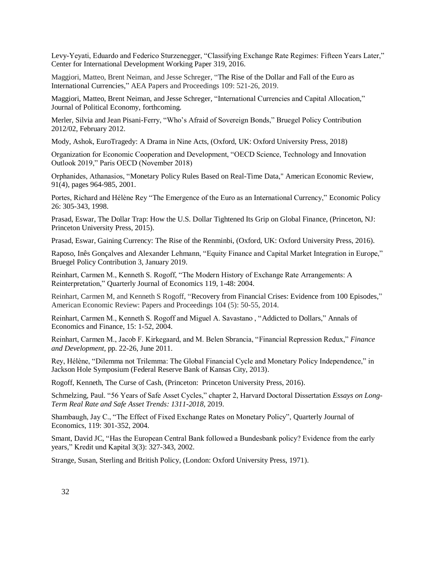Levy-Yeyati, Eduardo and Federico Sturzenegger, "Classifying Exchange Rate Regimes: Fifteen Years Later," Center for International Development Working Paper 319, 2016.

Maggiori, Matteo, Brent Neiman, and Jesse Schreger, ["The Rise of the Dollar and Fall of the Euro as](https://scholar.harvard.edu/maggiori/publications/rise-dollar-and-fall-euro-international-currencies)  [International Currencies,](https://scholar.harvard.edu/maggiori/publications/rise-dollar-and-fall-euro-international-currencies)" AEA Papers and Proceedings 109: 521-26, 2019.

Maggiori, Matteo, Brent Neiman, and Jesse Schreger, "International Currencies and Capital Allocation," Journal of Political Economy, forthcoming.

Merler, Silvia and Jean Pisani-Ferry, "Who's Afraid of Sovereign Bonds," Bruegel Policy Contribution 2012/02, February 2012.

Mody, Ashok, EuroTragedy: A Drama in Nine Acts, (Oxford, UK: Oxford University Press, 2018)

Organization for Economic Cooperation and Development, "OECD Science, Technology and Innovation Outlook 2019," Paris OECD (November 2018)

Orphanides, Athanasios, "Monetary Policy Rules Based on Real-Time Data," American Economic Review, 91(4), pages 964-985, 2001.

Portes, Richard and Hélène Rey "The Emergence of the Euro as an International Currency," Economic Policy 26: 305-343, 1998.

Prasad, Eswar, The Dollar Trap: How the U.S. Dollar Tightened Its Grip on Global Finance, (Princeton, NJ: Princeton University Press, 2015).

Prasad, Eswar, Gaining Currency: The Rise of the Renminbi, (Oxford, UK: Oxford University Press, 2016).

Raposo, Inês Gonçalves and Alexander Lehmann, "Equity Finance and Capital Market Integration in Europe," Bruegel Policy Contribution 3, January 2019.

Reinhart, Carmen M., Kenneth S. Rogoff, "The Modern History of Exchange Rate Arrangements: A Reinterpretation," Quarterly Journal of Economics 119, 1-48: 2004.

Reinhart, Carmen M, and Kenneth S Rogoff, ["Recovery from Financial Crises: Evidence from 100 Episodes,"](https://scholar.harvard.edu/rogoff/publications/recovery-financial-crises-evidence-100-episodes) American Economic Review: Papers and Proceedings 104 (5): 50-55, 2014.

Reinhart, Carmen M., Kenneth S. Rogoff and Miguel A. Savastano , "Addicted to Dollars," Annals of Economics and Finance, 15: 1-52, 2004.

Reinhart, Carmen M., Jacob F. Kirkegaard, and M. Belen Sbrancia, "Financial Repression Redux," *Finance and Development*, pp. 22-26, June 2011.

Rey, Hélène, "Dilemma not Trilemma: The Global Financial Cycle and Monetary Policy Independence," in Jackson Hole Symposium (Federal Reserve Bank of Kansas City, 2013).

Rogoff, Kenneth, The Curse of Cash*,* (Princeton: Princeton University Press, 2016).

Schmelzing, Paul. "56 Years of Safe Asset Cycles," chapter 2, Harvard Doctoral Dissertation *Essays on Long-Term Real Rate and Safe Asset Trends: 1311-2018*, 2019.

Shambaugh, Jay C., "The Effect of Fixed Exchange Rates on Monetary Policy", Quarterly Journal of Economics*,* 119: 301-352, 2004.

Smant, David JC, "Has the European Central Bank followed a Bundesbank policy? Evidence from the early years," Kredit und Kapital 3(3): 327-343, 2002.

Strange, Susan, Sterling and British Policy, (London: Oxford University Press, 1971).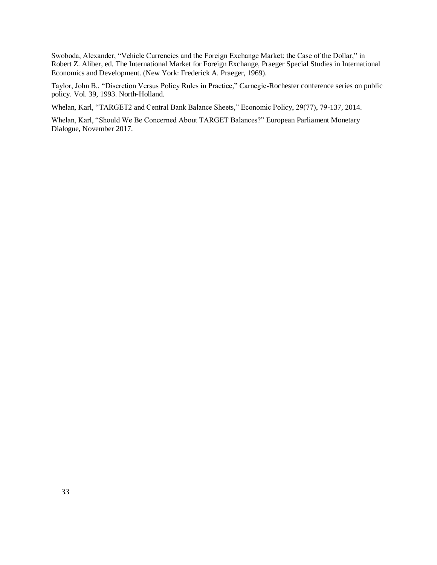Swoboda, Alexander, "Vehicle Currencies and the Foreign Exchange Market: the Case of the Dollar," in Robert Z. Aliber, ed. The International Market for Foreign Exchange, Praeger Special Studies in International Economics and Development. (New York: Frederick A. Praeger, 1969).

Taylor, John B., "Discretion Versus Policy Rules in Practice," Carnegie-Rochester conference series on public policy. Vol. 39, 1993. North-Holland.

Whelan, Karl, "TARGET2 and Central Bank Balance Sheets," Economic Policy, 29(77), 79-137, 2014.

Whelan, Karl, "Should We Be Concerned About TARGET Balances?" European Parliament Monetary Dialogue, November 2017.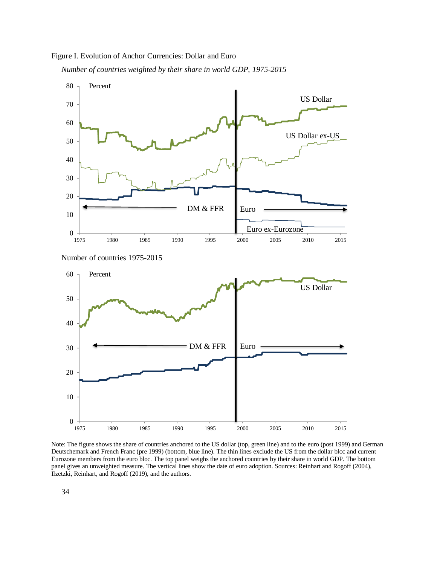

*Number of countries weighted by their share in world GDP, 1975-2015*



Note: The figure shows the share of countries anchored to the US dollar (top, green line) and to the euro (post 1999) and German Deutschemark and French Franc (pre 1999) (bottom, blue line). The thin lines exclude the US from the dollar bloc and current Eurozone members from the euro bloc. The top panel weighs the anchored countries by their share in world GDP. The bottom panel gives an unweighted measure. The vertical lines show the date of euro adoption. Sources: Reinhart and Rogoff (2004), Ilzetzki, Reinhart, and Rogoff (2019), and the authors.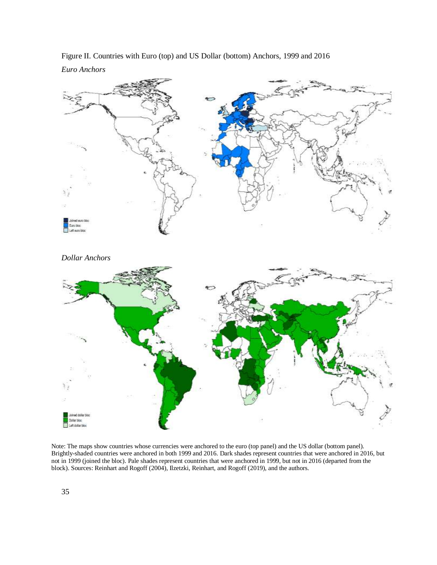

Figure II. Countries with Euro (top) and US Dollar (bottom) Anchors, 1999 and 2016

Note: The maps show countries whose currencies were anchored to the euro (top panel) and the US dollar (bottom panel). Brightly-shaded countries were anchored in both 1999 and 2016. Dark shades represent countries that were anchored in 2016, but not in 1999 (joined the bloc). Pale shades represent countries that were anchored in 1999, but not in 2016 (departed from the block). Sources: Reinhart and Rogoff (2004), Ilzetzki, Reinhart, and Rogoff (2019), and the authors.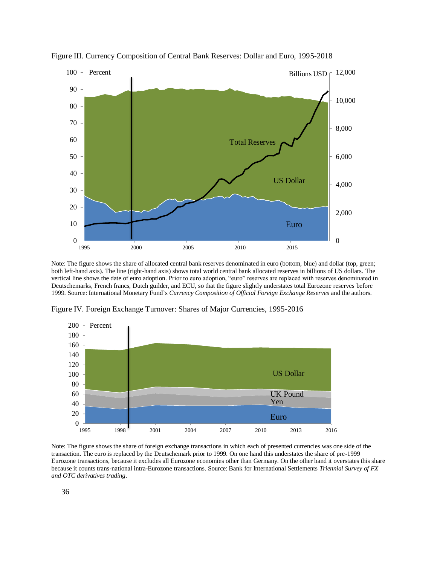

Figure III. Currency Composition of Central Bank Reserves: Dollar and Euro, 1995-2018

Note: The figure shows the share of allocated central bank reserves denominated in euro (bottom, blue) and dollar (top, green; both left-hand axis). The line (right-hand axis) shows total world central bank allocated reserves in billions of US dollars. The vertical line shows the date of euro adoption. Prior to euro adoption, "euro" reserves are replaced with reserves denominated in Deutschemarks, French francs, Dutch guilder, and ECU, so that the figure slightly understates total Eurozone reserves before 1999. Source: International Monetary Fund's *Currency Composition of Official Foreign Exchange Reserves* and the authors.



Figure IV. Foreign Exchange Turnover: Shares of Major Currencies, 1995-2016

Note: The figure shows the share of foreign exchange transactions in which each of presented currencies was one side of the transaction. The euro is replaced by the Deutschemark prior to 1999. On one hand this understates the share of pre-1999 Eurozone transactions, because it excludes all Eurozone economies other than Germany. On the other hand it overstates this share because it counts trans-national intra-Eurozone transactions. Source: Bank for International Settlements *Triennial Survey of FX and OTC derivatives trading*.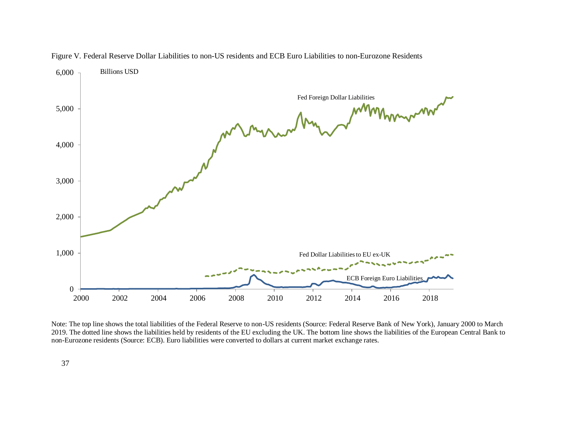

Figure V. Federal Reserve Dollar Liabilities to non-US residents and ECB Euro Liabilities to non-Eurozone Residents

Note: The top line shows the total liabilities of the Federal Reserve to non-US residents (Source: Federal Reserve Bank of New York), January 2000 to March 2019. The dotted line shows the liabilities held by residents of the EU excluding the UK. The bottom line shows the liabilities of the European Central Bank to non-Eurozone residents (Source: ECB). Euro liabilities were converted to dollars at current market exchange rates.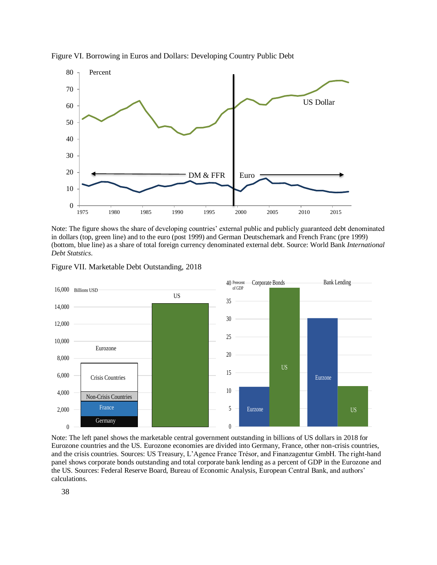

Figure VI. Borrowing in Euros and Dollars: Developing Country Public Debt

Note: The figure shows the share of developing countries' external public and publicly guaranteed debt denominated in dollars (top, green line) and to the euro (post 1999) and German Deutschemark and French Franc (pre 1999) (bottom, blue line) as a share of total foreign currency denominated external debt. Source: World Bank *International Debt Statstics*.



Figure VII. Marketable Debt Outstanding, 2018

Note: The left panel shows the marketable central government outstanding in billions of US dollars in 2018 for Eurozone countries and the US. Eurozone economies are divided into Germany, France, other non-crisis countries, and the crisis countries. Sources: US Treasury, L'Agence France Trésor, and Finanzagentur GmbH. The right-hand panel shows corporate bonds outstanding and total corporate bank lending as a percent of GDP in the Eurozone and the US. Sources: Federal Reserve Board, Bureau of Economic Analysis, European Central Bank, and authors' calculations.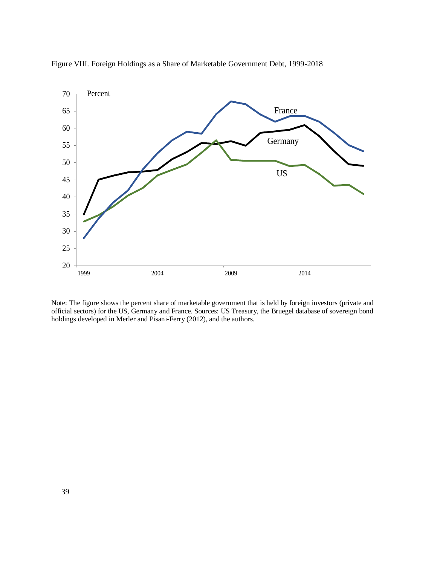

Figure VIII. Foreign Holdings as a Share of Marketable Government Debt, 1999-2018

Note: The figure shows the percent share of marketable government that is held by foreign investors (private and official sectors) for the US, Germany and France. Sources: US Treasury, the Bruegel database of sovereign bond holdings developed in Merler and Pisani-Ferry (2012), and the authors.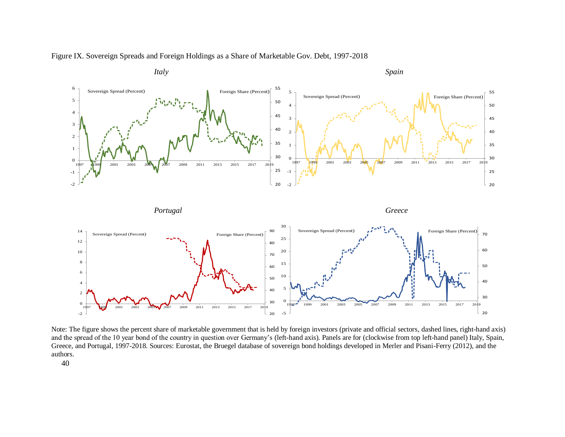

Figure IX. Sovereign Spreads and Foreign Holdings as a Share of Marketable Gov. Debt, 1997-2018

Note: The figure shows the percent share of marketable government that is held by foreign investors (private and official sectors, dashed lines, right-hand axis) and the spread of the 10 year bond of the country in question over Germany's (left-hand axis). Panels are for (clockwise from top left-hand panel) Italy, Spain, Greece, and Portugal, 1997-2018. Sources: Eurostat, the Bruegel database of sovereign bond holdings developed in Merler and Pisani-Ferry (2012), and the authors.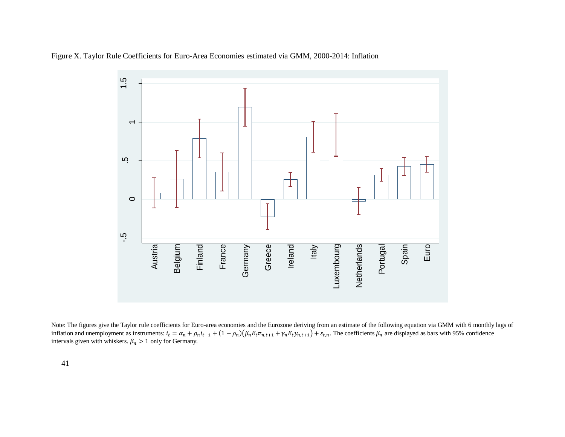



Note: The figures give the Taylor rule coefficients for Euro-area economies and the Eurozone deriving from an estimate of the following equation via GMM with 6 monthly lags of inflation and unemployment as instruments:  $i_t = \alpha_n + \rho_n i_{t-1} + (1 - \rho_n)(\beta_n E_t \pi_{n,t+1} + \gamma_n E_t y_{n,t+1}) + \varepsilon_{t,n}$ . The coefficients  $\beta_n$  are displayed as bars with 95% confidence intervals given with whiskers.  $\beta_n > 1$  only for Germany.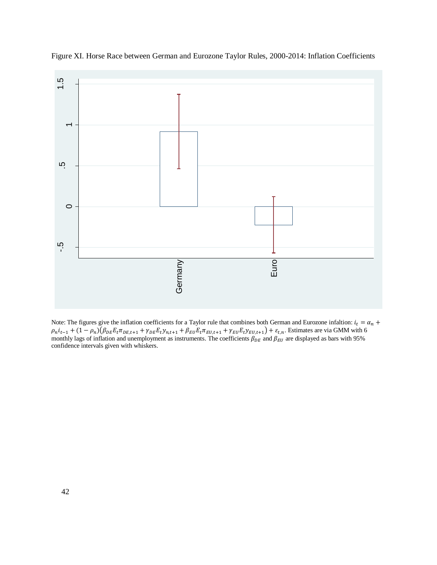

Figure XI. Horse Race between German and Eurozone Taylor Rules, 2000-2014: Inflation Coefficients

Note: The figures give the inflation coefficients for a Taylor rule that combines both German and Eurozone infaltion:  $i_t = \alpha_n + \beta$  $\rho_n i_{t-1} + (1 - \rho_n)(\beta_{DE} E_t \pi_{DE,t+1} + \gamma_{DE} E_t \gamma_{n,t+1} + \beta_{EU} E_t \pi_{EU,t+1} + \gamma_{EU} E_t \gamma_{EU,t+1}) + \varepsilon_{t,n}$ . Estimates are via GMM with 6 monthly lags of inflation and unemployment as instruments. The coefficients  $\beta_{DE}$  and  $\beta_{EU}$  are displayed as bars with 95% confidence intervals given with whiskers.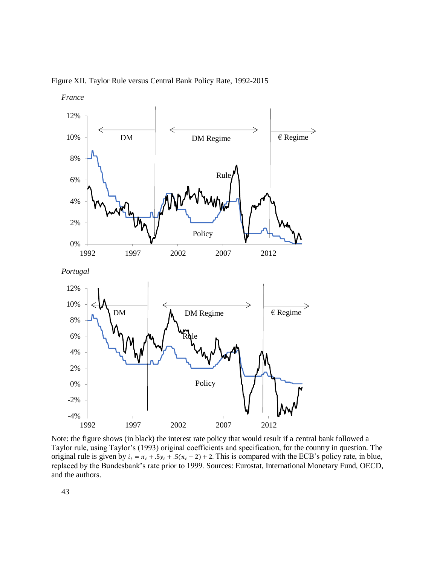

Figure XII. Taylor Rule versus Central Bank Policy Rate, 1992-2015

Note: the figure shows (in black) the interest rate policy that would result if a central bank followed a Taylor rule, using Taylor's (1993) original coefficients and specification, for the country in question. The original rule is given by  $i_t = \pi_t + 0.5y_t + 0.5(\pi_t - 2) + 2$ . This is compared with the ECB's policy rate, in blue, replaced by the Bundesbank's rate prior to 1999. Sources: Eurostat, International Monetary Fund, OECD, and the authors.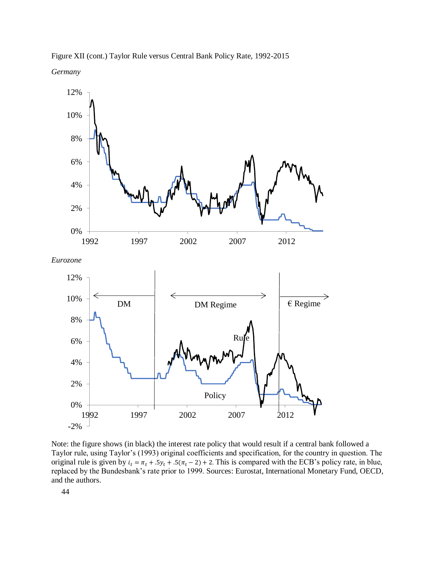

Figure XII (cont.) Taylor Rule versus Central Bank Policy Rate, 1992-2015

Note: the figure shows (in black) the interest rate policy that would result if a central bank followed a Taylor rule, using Taylor's (1993) original coefficients and specification, for the country in question. The original rule is given by  $i_t = \pi_t + .5y_t + .5(\pi_t - 2) + 2$ . This is compared with the ECB's policy rate, in blue, replaced by the Bundesbank's rate prior to 1999. Sources: Eurostat, International Monetary Fund, OECD, and the authors.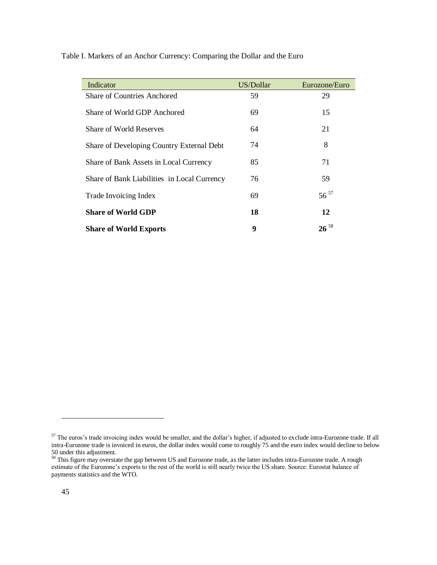Table I. Markers of an Anchor Currency: Comparing the Dollar and the Euro

| Indicator                                   | US/Dollar | Eurozone/Euro |
|---------------------------------------------|-----------|---------------|
| <b>Share of Countries Anchored</b>          | 59        | 29            |
| Share of World GDP Anchored                 | 69        | 15            |
| Share of World Reserves                     | 64        | 21            |
| Share of Developing Country External Debt   | 74        | 8             |
| Share of Bank Assets in Local Currency      | 85        | 71            |
| Share of Bank Liabilities in Local Currency | 76        | 59            |
| Trade Invoicing Index                       | 69        | $56^{57}$     |
| <b>Share of World GDP</b>                   | 18        | 12            |
| <b>Share of World Exports</b>               | 9         | $26^{58}$     |

<sup>&</sup>lt;sup>57</sup> The euros's trade invoicing index would be smaller, and the dollar's higher, if adjusted to exclude intra-Eurozone trade. If all intra-Eurozone trade is invoiced in euros, the dollar index would come to roughly 75 and the euro index would decline to below 50 under this adjustment.

 $58$  This figure may overstate the gap between US and Eurozone trade, as the latter includes intra-Eurozone trade. A rough estimate of the Eurozone's exports to the rest of the world is still nearly twice the US share. Source: Eurostat balance of payments statistics and the WTO.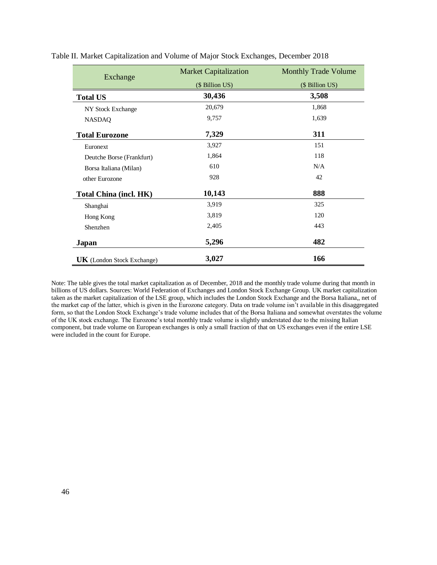| Exchange                      | <b>Market Capitalization</b> | <b>Monthly Trade Volume</b> |
|-------------------------------|------------------------------|-----------------------------|
|                               | (\$ Billion US)              | (\$ Billion US)             |
| <b>Total US</b>               | 30,436                       | 3,508                       |
| NY Stock Exchange             | 20,679                       | 1,868                       |
| <b>NASDAQ</b>                 | 9,757                        | 1,639                       |
| <b>Total Eurozone</b>         | 7,329                        | 311                         |
| Euronext                      | 3,927                        | 151                         |
| Deutche Borse (Frankfurt)     | 1,864                        | 118                         |
| Borsa Italiana (Milan)        | 610                          | N/A                         |
| other Eurozone                | 928                          | 42                          |
| <b>Total China (incl. HK)</b> | 10,143                       | 888                         |
| Shanghai                      | 3,919                        | 325                         |
| Hong Kong                     | 3,819                        | 120                         |
| Shenzhen                      | 2,405                        | 443                         |
| Japan                         | 5,296                        | 482                         |
| $UK$ (London Stock Exchange)  | 3,027                        | 166                         |

Table II. Market Capitalization and Volume of Major Stock Exchanges, December 2018

Note: The table gives the total market capitalization as of December, 2018 and the monthly trade volume during that month in billions of US dollars. Sources: World Federation of Exchanges and London Stock Exchange Group. UK market capitalization taken as the market capitalization of the LSE group, which includes the London Stock Exchange and the Borsa Italiana,, net of the market cap of the latter, which is given in the Eurozone category. Data on trade volume isn't available in this disaggregated form, so that the London Stock Exchange's trade volume includes that of the Borsa Italiana and somewhat overstates the volume of the UK stock exchange. The Eurozone's total monthly trade volume is slightly understated due to the missing Italian component, but trade volume on European exchanges is only a small fraction of that on US exchanges even if the entire LSE were included in the count for Europe.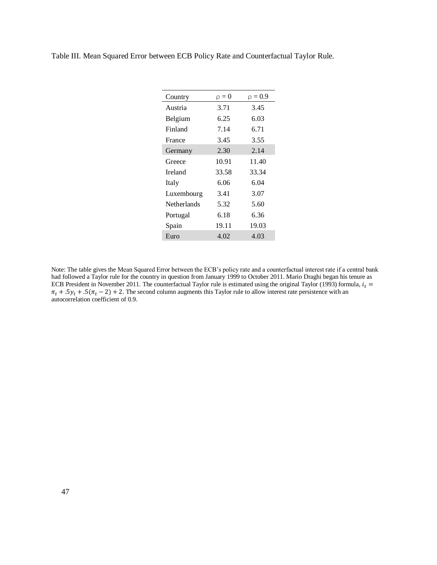|  |  |  |  | Table III. Mean Squared Error between ECB Policy Rate and Counterfactual Taylor Rule. |  |  |
|--|--|--|--|---------------------------------------------------------------------------------------|--|--|
|  |  |  |  |                                                                                       |  |  |

| Country     | $\circ = 0$ | $\rho = 0.9$ |
|-------------|-------------|--------------|
| Austria     | 3.71        | 3.45         |
| Belgium     | 6.25        | 6.03         |
| Finland     | 7.14        | 6.71         |
| France      | 3.45        | 3.55         |
| Germany     | 2.30        | 2.14         |
| Greece      | 10.91       | 11.40        |
| Ireland     | 33.58       | 33.34        |
| Italy       | 6.06        | 6.04         |
| Luxembourg  | 3.41        | 3.07         |
| Netherlands | 5.32        | 5.60         |
| Portugal    | 6.18        | 6.36         |
| Spain       | 19.11       | 19.03        |
| Euro        | 4.02        | 4.03         |

Note: The table gives the Mean Squared Error between the ECB's policy rate and a counterfactual interest rate if a central bank had followed a Taylor rule for the country in question from January 1999 to October 2011. Mario Draghi began his tenure as ECB President in November 2011. The counterfactual Taylor rule is estimated using the original Taylor (1993) formula,  $i_t =$  $\pi_t$  + .5 $y_t$  + .5( $\pi_t$  – 2) + 2. The second column augments this Taylor rule to allow interest rate persistence with an autocorrelation coefficient of 0.9.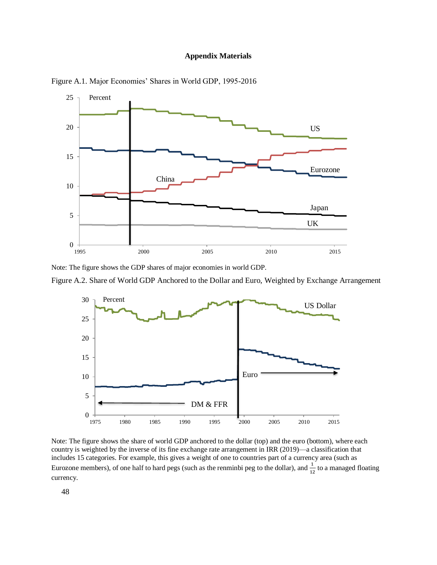#### **Appendix Materials**



Figure A.1. Major Economies' Shares in World GDP, 1995-2016

Note: The figure shows the GDP shares of major economies in world GDP.





Note: The figure shows the share of world GDP anchored to the dollar (top) and the euro (bottom), where each country is weighted by the inverse of its fine exchange rate arrangement in IRR (2019)—a classification that includes 15 categories. For example, this gives a weight of one to countries part of a currency area (such as Eurozone members), of one half to hard pegs (such as the renminbi peg to the dollar), and  $\frac{1}{12}$  to a managed floating currency.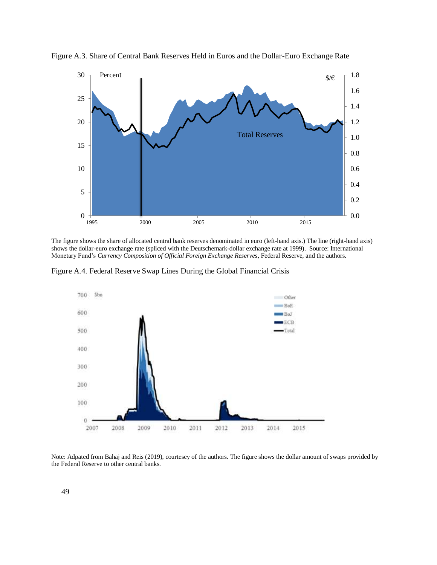

Figure A.3. Share of Central Bank Reserves Held in Euros and the Dollar-Euro Exchange Rate

The figure shows the share of allocated central bank reserves denominated in euro (left-hand axis.) The line (right-hand axis) shows the dollar-euro exchange rate (spliced with the Deutschemark-dollar exchange rate at 1999). Source: International Monetary Fund's *Currency Composition of Official Foreign Exchange Reserves*, Federal Reserve, and the authors.

Figure A.4. Federal Reserve Swap Lines During the Global Financial Crisis



Note: Adpated from Bahaj and Reis (2019), courtesey of the authors. The figure shows the dollar amount of swaps provided by the Federal Reserve to other central banks.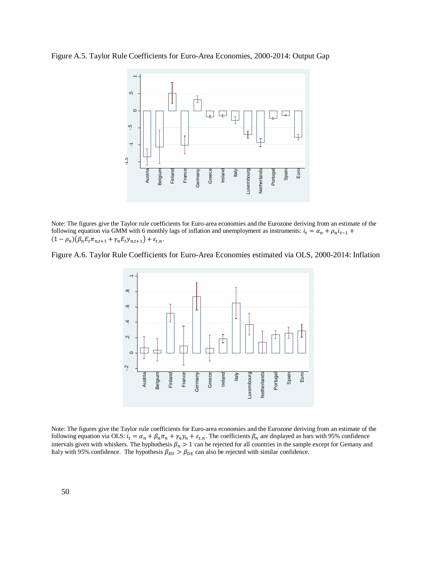Figure A.5. Taylor Rule Coefficients for Euro-Area Economies, 2000-2014: Output Gap



Note: The figures give the Taylor rule coefficients for Euro-area economies and the Eurozone deriving from an estimate of the following equation via GMM with 6 monthly lags of inflation and unemployment as instruments:  $i_t = \alpha_n + \rho_n i_{t-1} +$  $(1 - \rho_n)(\beta_n E_t \pi_{n,t+1} + \gamma_n E_t y_{n,t+1}) + \varepsilon_{t,n}.$ 

Figure A.6. Taylor Rule Coefficients for Euro-Area Economies estimated via OLS, 2000-2014: Inflation



Note: The figures give the Taylor rule coefficients for Euro-area economies and the Eurozone deriving from an estimate of the following equation via OLS:  $i_t = \alpha_n + \beta_n \pi_n + \gamma_n y_n + \varepsilon_{t,n}$ . The coefficients  $\beta_n$  are displayed as bars with 95% confidence intervals given with whiskers. The hyphothesis  $\beta_n > 1$  can be rejected for all countries in the sample except for Gemany and Italy with 95% confidence. The hypothesis  $\beta_{EU} > \beta_{DE}$  can also be rejected with similar confidence.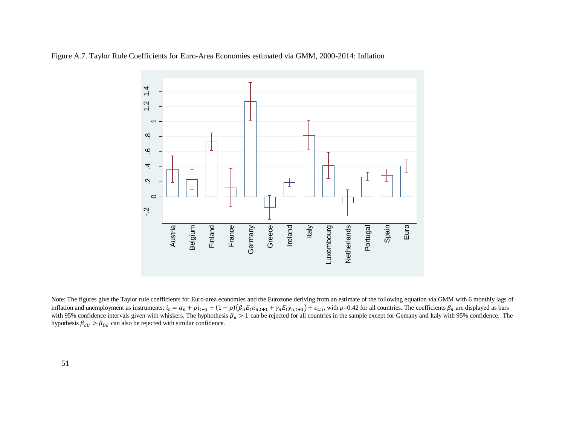

Figure A.7. Taylor Rule Coefficients for Euro-Area Economies estimated via GMM, 2000-2014: Inflation

Note: The figures give the Taylor rule coefficients for Euro-area economies and the Eurozone deriving from an estimate of the following equation via GMM with 6 monthly lags of inflation and unemployment as instruments:  $i_t = \alpha_n + \rho i_{t-1} + (1 - \rho)(\beta_n E_t \pi_{n,t+1} + \gamma_n E_t y_{n,t+1}) + \varepsilon_{t,n}$ , with  $\rho = 0.42$  for all countries. The coefficients  $\beta_n$  are displayed as bars with 95% confidence intervals given with whiskers. The hyphothesis  $\beta_n > 1$  can be rejected for all countries in the sample except for Gemany and Italy with 95% confidence. The hypothesis  $\beta_{EU} > \beta_{DE}$  can also be rejected with similar confidence.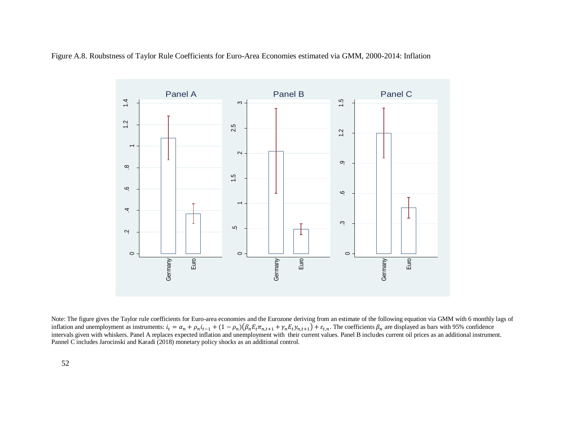Figure A.8. Roubstness of Taylor Rule Coefficients for Euro-Area Economies estimated via GMM, 2000-2014: Inflation



Note: The figure gives the Taylor rule coefficients for Euro-area economies and the Eurozone deriving from an estimate of the following equation via GMM with 6 monthly lags of inflation and unemployment as instruments:  $i_t = \alpha_n + \rho_n i_{t-1} + (1 - \rho_n)(\beta_n E_t \pi_{n,t+1} + \gamma_n E_t y_{n,t+1}) + \varepsilon_{t,n}$ . The coefficients  $\beta_n$  are displayed as bars with 95% confidence intervals given with whiskers. Panel A replaces expected inflation and unemployment with their current values. Panel B includes current oil prices as an additional instrument. Pannel C includes Jarocinski and Karadi (2018) monetary policy shocks as an additional control.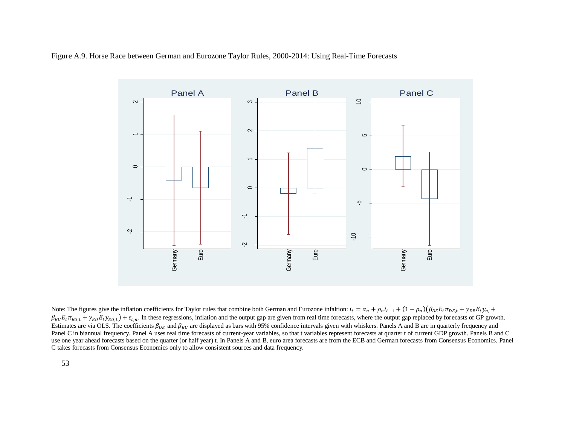Figure A.9. Horse Race between German and Eurozone Taylor Rules, 2000-2014: Using Real-Time Forecasts



Note: The figures give the inflation coefficients for Taylor rules that combine both German and Eurozone infaltion:  $i_t = \alpha_n + \rho_n i_{t-1} + (1 - \rho_n)(\beta_{DE} E_t \pi_{DE, t} + \gamma_{DE} E_t \gamma_{n,t} + \rho_{DE} E_t \gamma_{n,t}$  $\beta_{EU}E_t\pi_{EU,t} + \gamma_{EU}E_t\gamma_{EU,t}$  +  $\varepsilon_{t,n}$ . In these regressions, inflation and the output gap are given from real time forecasts, where the output gap replaced by forecasts of GP growth. Estimates are via OLS. The coefficients  $\beta_{DE}$  and  $\beta_{EU}$  are displayed as bars with 95% confidence intervals given with whiskers. Panels A and B are in quarterly frequency and Panel C in biannual frequency. Panel A uses real time forecasts of current-year variables, so that t variables represent forecasts at quarter t of current GDP growth. Panels B and C use one year ahead forecasts based on the quarter (or half year) t. In Panels A and B, euro area forecasts are from the ECB and German forecasts from Consensus Economics. Panel C takes forecasts from Consensus Economics only to allow consistent sources and data frequency.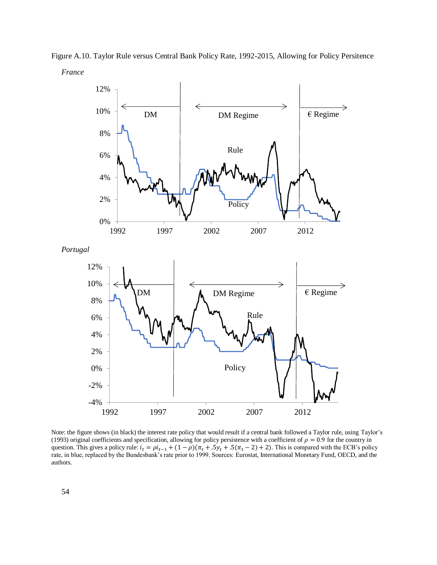*France* 6% 8% 10% 12%  $DM$  DM Regime  $\left| \begin{array}{ccc} \in \text{Regime} \end{array} \right|$ Rule

Figure A.10. Taylor Rule versus Central Bank Policy Rate, 1992-2015, Allowing for Policy Persitence

0%

2%

4%



1992 1997 2002 2007 2012

**Policy** 

Note: the figure shows (in black) the interest rate policy that would result if a central bank followed a Taylor rule, using Taylor's (1993) original coefficients and specification, allowing for policy persistence with a coefficient of  $\rho = 0.9$  for the country in question. This gives a policy rule:  $i_t = \rho i_{t-1} + (1 - \rho)(\pi_t + 5y_t + 5(\pi_t - 2) + 2)$ . This is compared with the ECB's policy rate, in blue, replaced by the Bundesbank's rate prior to 1999. Sources: Eurostat, International Monetary Fund, OECD, and the authors.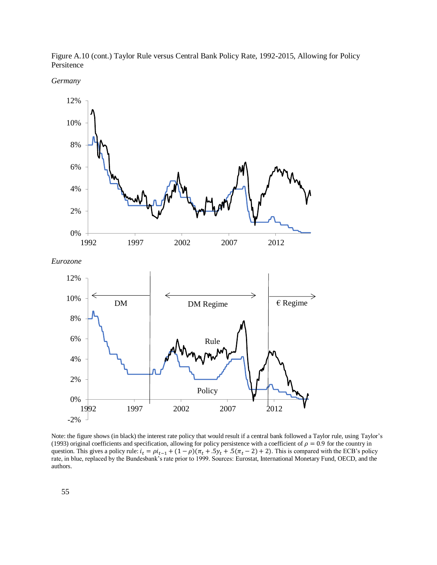

Figure A.10 (cont.) Taylor Rule versus Central Bank Policy Rate, 1992-2015, Allowing for Policy Persitence

*Germany*

Note: the figure shows (in black) the interest rate policy that would result if a central bank followed a Taylor rule, using Taylor's (1993) original coefficients and specification, allowing for policy persistence with a coefficient of  $\rho = 0.9$  for the country in question. This gives a policy rule:  $i_t = \rho i_{t-1} + (1 - \rho)(\pi_t + 5y_t + 5(\pi_t - 2) + 2)$ . This is compared with the ECB's policy rate, in blue, replaced by the Bundesbank's rate prior to 1999. Sources: Eurostat, International Monetary Fund, OECD, and the authors.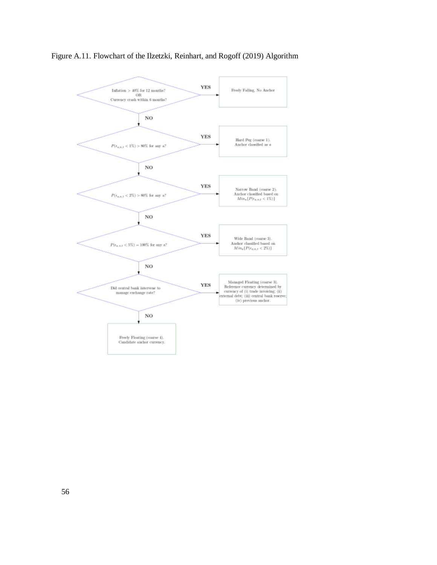

Figure A.11. Flowchart of the Ilzetzki, Reinhart, and Rogoff (2019) Algorithm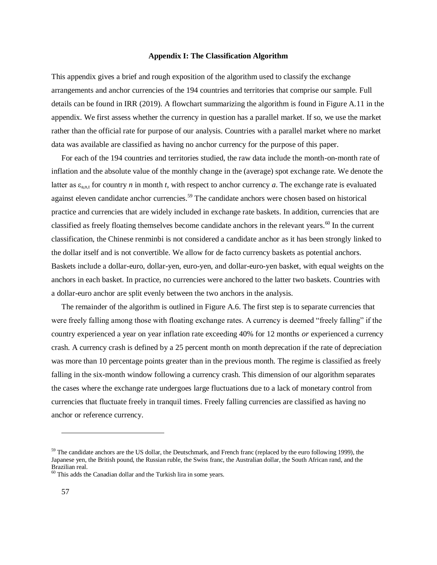#### **Appendix I: The Classification Algorithm**

This appendix gives a brief and rough exposition of the algorithm used to classify the exchange arrangements and anchor currencies of the 194 countries and territories that comprise our sample. Full details can be found in IRR (2019). A flowchart summarizing the algorithm is found in Figure A.11 in the appendix. We first assess whether the currency in question has a parallel market. If so, we use the market rather than the official rate for purpose of our analysis. Countries with a parallel market where no market data was available are classified as having no anchor currency for the purpose of this paper.

For each of the 194 countries and territories studied, the raw data include the month-on-month rate of inflation and the absolute value of the monthly change in the (average) spot exchange rate. We denote the latter as  $\varepsilon_{a,n,t}$  for country *n* in month *t*, with respect to anchor currency *a*. The exchange rate is evaluated against eleven candidate anchor currencies.<sup>59</sup> The candidate anchors were chosen based on historical practice and currencies that are widely included in exchange rate baskets. In addition, currencies that are classified as freely floating themselves become candidate anchors in the relevant years.<sup>60</sup> In the current classification, the Chinese renminbi is not considered a candidate anchor as it has been strongly linked to the dollar itself and is not convertible. We allow for de facto currency baskets as potential anchors. Baskets include a dollar-euro, dollar-yen, euro-yen, and dollar-euro-yen basket, with equal weights on the anchors in each basket. In practice, no currencies were anchored to the latter two baskets. Countries with a dollar-euro anchor are split evenly between the two anchors in the analysis.

The remainder of the algorithm is outlined in Figure A.6. The first step is to separate currencies that were freely falling among those with floating exchange rates. A currency is deemed "freely falling" if the country experienced a year on year inflation rate exceeding 40% for 12 months *or* experienced a currency crash. A currency crash is defined by a 25 percent month on month deprecation if the rate of depreciation was more than 10 percentage points greater than in the previous month. The regime is classified as freely falling in the six-month window following a currency crash. This dimension of our algorithm separates the cases where the exchange rate undergoes large fluctuations due to a lack of monetary control from currencies that fluctuate freely in tranquil times. Freely falling currencies are classified as having no anchor or reference currency.

 $59$  The candidate anchors are the US dollar, the Deutschmark, and French franc (replaced by the euro following 1999), the Japanese yen, the British pound, the Russian ruble, the Swiss franc, the Australian dollar, the South African rand, and the Brazilian real.

 $60$  This adds the Canadian dollar and the Turkish lira in some years.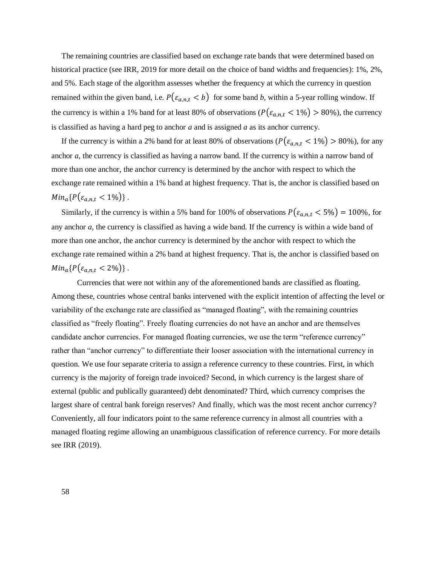The remaining countries are classified based on exchange rate bands that were determined based on historical practice (see IRR, 2019 for more detail on the choice of band widths and frequencies): 1%, 2%, and 5%. Each stage of the algorithm assesses whether the frequency at which the currency in question remained within the given band, i.e.  $P(\varepsilon_{a,n,t} < b)$  for some band *b*, within a 5-year rolling window. If the currency is within a 1% band for at least 80% of observations ( $P(\varepsilon_{a,n,t} < 1\%) > 80\%$ ), the currency is classified as having a hard peg to anchor *a* and is assigned *a* as its anchor currency.

If the currency is within a 2% band for at least 80% of observations ( $P(\varepsilon_{a,n,t} < 1\%) > 80\%$ ), for any anchor *a*, the currency is classified as having a narrow band. If the currency is within a narrow band of more than one anchor, the anchor currency is determined by the anchor with respect to which the exchange rate remained within a 1% band at highest frequency. That is, the anchor is classified based on  $Min_a\{P(\varepsilon_{a,n,t} < 1\%) \}$ .

Similarly, if the currency is within a 5% band for 100% of observations  $P(\varepsilon_{a,n,t} < 5\%) = 100\%$ , for any anchor *a*, the currency is classified as having a wide band. If the currency is within a wide band of more than one anchor, the anchor currency is determined by the anchor with respect to which the exchange rate remained within a 2% band at highest frequency. That is, the anchor is classified based on  $Min_a\{P(\varepsilon_{a,n,t} < 2\%)\}$ .

Currencies that were not within any of the aforementioned bands are classified as floating. Among these, countries whose central banks intervened with the explicit intention of affecting the level or variability of the exchange rate are classified as "managed floating", with the remaining countries classified as "freely floating". Freely floating currencies do not have an anchor and are themselves candidate anchor currencies. For managed floating currencies, we use the term "reference currency" rather than "anchor currency" to differentiate their looser association with the international currency in question. We use four separate criteria to assign a reference currency to these countries. First, in which currency is the majority of foreign trade invoiced? Second, in which currency is the largest share of external (public and publically guaranteed) debt denominated? Third, which currency comprises the largest share of central bank foreign reserves? And finally, which was the most recent anchor currency? Conveniently, all four indicators point to the same reference currency in almost all countries with a managed floating regime allowing an unambiguous classification of reference currency. For more details see IRR (2019).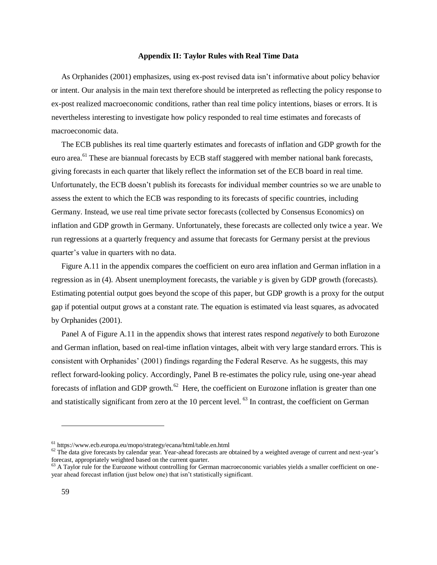#### **Appendix II: Taylor Rules with Real Time Data**

As Orphanides (2001) emphasizes, using ex-post revised data isn't informative about policy behavior or intent. Our analysis in the main text therefore should be interpreted as reflecting the policy response to ex-post realized macroeconomic conditions, rather than real time policy intentions, biases or errors. It is nevertheless interesting to investigate how policy responded to real time estimates and forecasts of macroeconomic data.

The ECB publishes its real time quarterly estimates and forecasts of inflation and GDP growth for the euro area.<sup>61</sup> These are biannual forecasts by ECB staff staggered with member national bank forecasts, giving forecasts in each quarter that likely reflect the information set of the ECB board in real time. Unfortunately, the ECB doesn't publish its forecasts for individual member countries so we are unable to assess the extent to which the ECB was responding to its forecasts of specific countries, including Germany. Instead, we use real time private sector forecasts (collected by Consensus Economics) on inflation and GDP growth in Germany. Unfortunately, these forecasts are collected only twice a year. We run regressions at a quarterly frequency and assume that forecasts for Germany persist at the previous quarter's value in quarters with no data.

Figure A.11 in the appendix compares the coefficient on euro area inflation and German inflation in a regression as in (4). Absent unemployment forecasts, the variable *y* is given by GDP growth (forecasts). Estimating potential output goes beyond the scope of this paper, but GDP growth is a proxy for the output gap if potential output grows at a constant rate. The equation is estimated via least squares, as advocated by Orphanides (2001).

Panel A of Figure A.11 in the appendix shows that interest rates respond *negatively* to both Eurozone and German inflation, based on real-time inflation vintages, albeit with very large standard errors. This is consistent with Orphanides' (2001) findings regarding the Federal Reserve. As he suggests, this may reflect forward-looking policy. Accordingly, Panel B re-estimates the policy rule, using one-year ahead forecasts of inflation and GDP growth.<sup>62</sup> Here, the coefficient on Eurozone inflation is greater than one and statistically significant from zero at the 10 percent level.<sup>63</sup> In contrast, the coefficient on German

 $^{61}$ https://www.ecb.europa.eu/mopo/strategy/ecana/html/table.en.html

<sup>&</sup>lt;sup>62</sup> The data give forecasts by calendar year. Year-ahead forecasts are obtained by a weighted average of current and next-year's forecast, appropriately weighted based on the current quarter.

 $63$  A Taylor rule for the Eurozone without controlling for German macroeconomic variables yields a smaller coefficient on oneyear ahead forecast inflation (just below one) that isn't statistically significant.